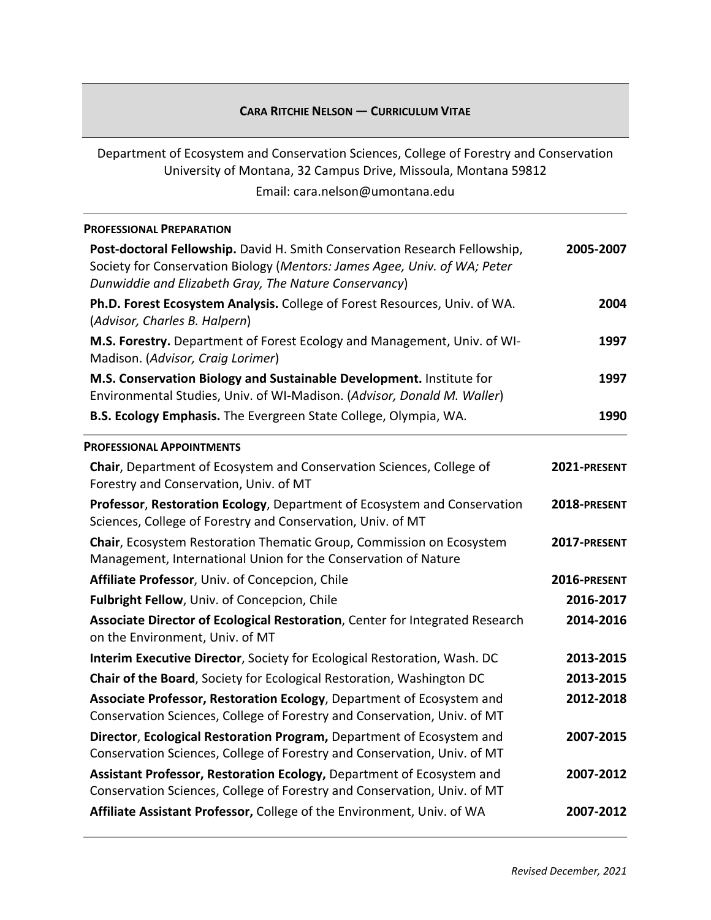## **CARA RITCHIE NELSON ― CURRICULUM VITAE**

Department of Ecosystem and Conservation Sciences, College of Forestry and Conservation University of Montana, 32 Campus Drive, Missoula, Montana 59812

Email: cara.nelson@umontana.edu

| <b>PROFESSIONAL PREPARATION</b>                                                                                                                                                                                                                                                                                                 |                   |
|---------------------------------------------------------------------------------------------------------------------------------------------------------------------------------------------------------------------------------------------------------------------------------------------------------------------------------|-------------------|
| Post-doctoral Fellowship. David H. Smith Conservation Research Fellowship,<br>Society for Conservation Biology (Mentors: James Agee, Univ. of WA; Peter<br>Dunwiddie and Elizabeth Gray, The Nature Conservancy)<br>Ph.D. Forest Ecosystem Analysis. College of Forest Resources, Univ. of WA.<br>(Advisor, Charles B. Halpern) | 2005-2007<br>2004 |
|                                                                                                                                                                                                                                                                                                                                 |                   |
| M.S. Conservation Biology and Sustainable Development. Institute for<br>Environmental Studies, Univ. of WI-Madison. (Advisor, Donald M. Waller)                                                                                                                                                                                 | 1997              |
| B.S. Ecology Emphasis. The Evergreen State College, Olympia, WA.                                                                                                                                                                                                                                                                | 1990              |
| <b>PROFESSIONAL APPOINTMENTS</b>                                                                                                                                                                                                                                                                                                |                   |
| Chair, Department of Ecosystem and Conservation Sciences, College of<br>Forestry and Conservation, Univ. of MT                                                                                                                                                                                                                  | 2021-PRESENT      |
| Professor, Restoration Ecology, Department of Ecosystem and Conservation<br>Sciences, College of Forestry and Conservation, Univ. of MT                                                                                                                                                                                         | 2018-PRESENT      |
| Chair, Ecosystem Restoration Thematic Group, Commission on Ecosystem<br>Management, International Union for the Conservation of Nature                                                                                                                                                                                          | 2017-PRESENT      |
| Affiliate Professor, Univ. of Concepcion, Chile                                                                                                                                                                                                                                                                                 | 2016-PRESENT      |
| Fulbright Fellow, Univ. of Concepcion, Chile                                                                                                                                                                                                                                                                                    | 2016-2017         |
| Associate Director of Ecological Restoration, Center for Integrated Research<br>on the Environment, Univ. of MT                                                                                                                                                                                                                 | 2014-2016         |
| Interim Executive Director, Society for Ecological Restoration, Wash. DC                                                                                                                                                                                                                                                        | 2013-2015         |
| Chair of the Board, Society for Ecological Restoration, Washington DC                                                                                                                                                                                                                                                           | 2013-2015         |
| Associate Professor, Restoration Ecology, Department of Ecosystem and<br>Conservation Sciences, College of Forestry and Conservation, Univ. of MT                                                                                                                                                                               | 2012-2018         |
| Director, Ecological Restoration Program, Department of Ecosystem and<br>Conservation Sciences, College of Forestry and Conservation, Univ. of MT                                                                                                                                                                               | 2007-2015         |
| Assistant Professor, Restoration Ecology, Department of Ecosystem and<br>Conservation Sciences, College of Forestry and Conservation, Univ. of MT                                                                                                                                                                               | 2007-2012         |
| Affiliate Assistant Professor, College of the Environment, Univ. of WA                                                                                                                                                                                                                                                          | 2007-2012         |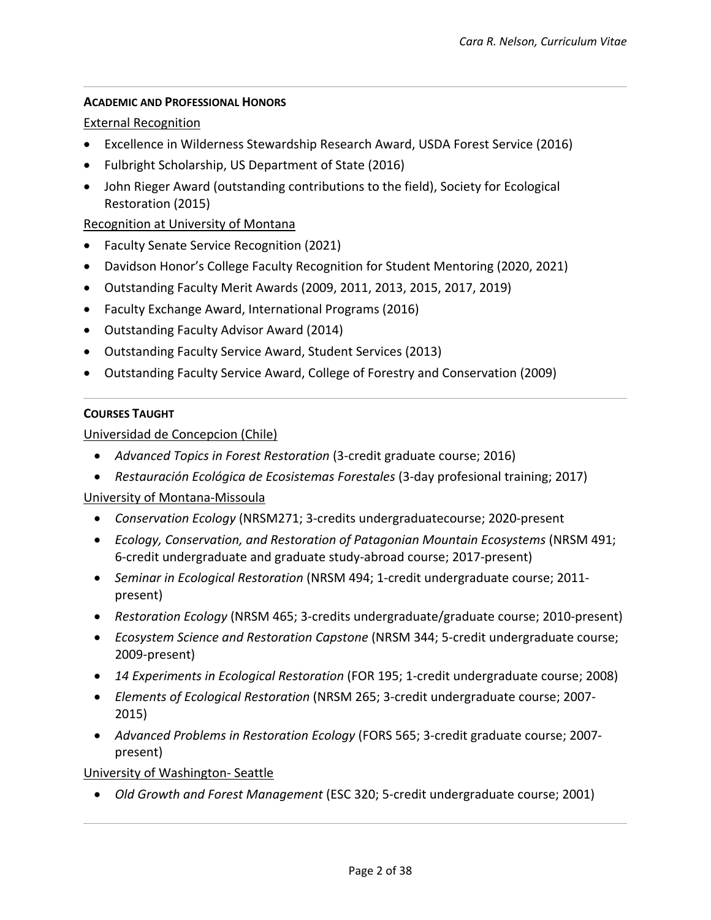## **ACADEMIC AND PROFESSIONAL HONORS**

#### External Recognition

- Excellence in Wilderness Stewardship Research Award, USDA Forest Service (2016)
- Fulbright Scholarship, US Department of State (2016)
- John Rieger Award (outstanding contributions to the field), Society for Ecological Restoration (2015)

## Recognition at University of Montana

- Faculty Senate Service Recognition (2021)
- Davidson Honor's College Faculty Recognition for Student Mentoring (2020, 2021)
- Outstanding Faculty Merit Awards (2009, 2011, 2013, 2015, 2017, 2019)
- Faculty Exchange Award, International Programs (2016)
- Outstanding Faculty Advisor Award (2014)
- Outstanding Faculty Service Award, Student Services (2013)
- Outstanding Faculty Service Award, College of Forestry and Conservation (2009)

#### **COURSES TAUGHT**

Universidad de Concepcion (Chile)

- *Advanced Topics in Forest Restoration* (3-credit graduate course; 2016)
- *Restauración Ecológica de Ecosistemas Forestales* (3-day profesional training; 2017)

University of Montana-Missoula

- *Conservation Ecology* (NRSM271; 3-credits undergraduatecourse; 2020-present
- *Ecology, Conservation, and Restoration of Patagonian Mountain Ecosystems* (NRSM 491; 6-credit undergraduate and graduate study-abroad course; 2017-present)
- *Seminar in Ecological Restoration* (NRSM 494; 1-credit undergraduate course; 2011 present)
- *Restoration Ecology* (NRSM 465; 3-credits undergraduate/graduate course; 2010-present)
- *Ecosystem Science and Restoration Capstone* (NRSM 344; 5-credit undergraduate course; 2009-present)
- *14 Experiments in Ecological Restoration* (FOR 195; 1-credit undergraduate course; 2008)
- *Elements of Ecological Restoration* (NRSM 265; 3-credit undergraduate course; 2007- 2015)
- *Advanced Problems in Restoration Ecology* (FORS 565; 3-credit graduate course; 2007 present)

University of Washington- Seattle

• *Old Growth and Forest Management* (ESC 320; 5-credit undergraduate course; 2001)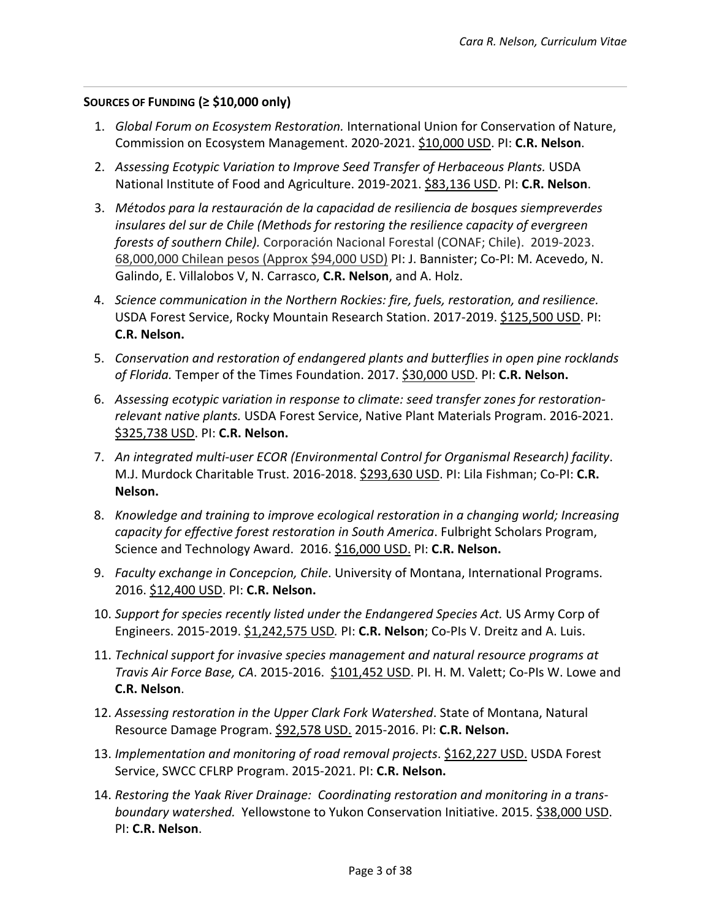## **SOURCES OF FUNDING (≥ \$10,000 only)**

- 1. *Global Forum on Ecosystem Restoration.* International Union for Conservation of Nature, Commission on Ecosystem Management. 2020-2021. \$10,000 USD. PI: **C.R. Nelson**.
- 2. Assessing Ecotypic Variation to Improve Seed Transfer of Herbaceous Plants. USDA National Institute of Food and Agriculture. 2019-2021. \$83,136 USD. PI: **C.R. Nelson**.
- 3. *Métodos para la restauración de la capacidad de resiliencia de bosques siempreverdes insulares del sur de Chile (Methods for restoring the resilience capacity of evergreen forests of southern Chile).* Corporación Nacional Forestal (CONAF; Chile). 2019-2023. 68,000,000 Chilean pesos (Approx \$94,000 USD) PI: J. Bannister; Co-PI: M. Acevedo, N. Galindo, E. Villalobos V, N. Carrasco, **C.R. Nelson**, and A. Holz.
- 4. *Science communication in the Northern Rockies: fire, fuels, restoration, and resilience.* USDA Forest Service, Rocky Mountain Research Station. 2017-2019. \$125,500 USD. PI: **C.R. Nelson.**
- 5. *Conservation and restoration of endangered plants and butterflies in open pine rocklands of Florida.* Temper of the Times Foundation. 2017. \$30,000 USD. PI: **C.R. Nelson.**
- 6. *Assessing ecotypic variation in response to climate: seed transfer zones for restorationrelevant native plants.* USDA Forest Service, Native Plant Materials Program. 2016-2021. \$325,738 USD. PI: **C.R. Nelson.**
- 7. *An integrated multi-user ECOR (Environmental Control for Organismal Research) facility*. M.J. Murdock Charitable Trust. 2016-2018. \$293,630 USD. PI: Lila Fishman; Co-PI: **C.R. Nelson.**
- 8. *Knowledge and training to improve ecological restoration in a changing world; Increasing capacity for effective forest restoration in South America*. Fulbright Scholars Program, Science and Technology Award. 2016. \$16,000 USD. PI: **C.R. Nelson.**
- 9. *Faculty exchange in Concepcion, Chile*. University of Montana, International Programs. 2016. \$12,400 USD. PI: **C.R. Nelson.**
- 10. *Support for species recently listed under the Endangered Species Act.* US Army Corp of Engineers. 2015-2019. \$1,242,575 USD*.* PI: **C.R. Nelson**; Co-PIs V. Dreitz and A. Luis.
- 11. *Technical support for invasive species management and natural resource programs at Travis Air Force Base, CA*. 2015-2016. \$101,452 USD. PI. H. M. Valett; Co-PIs W. Lowe and **C.R. Nelson**.
- 12. *Assessing restoration in the Upper Clark Fork Watershed*. State of Montana, Natural Resource Damage Program. \$92,578 USD. 2015-2016. PI: **C.R. Nelson.**
- 13. *Implementation and monitoring of road removal projects*. \$162,227 USD. USDA Forest Service, SWCC CFLRP Program. 2015-2021. PI: **C.R. Nelson.**
- 14. *Restoring the Yaak River Drainage: Coordinating restoration and monitoring in a transboundary watershed.* Yellowstone to Yukon Conservation Initiative. 2015. \$38,000 USD. PI: **C.R. Nelson**.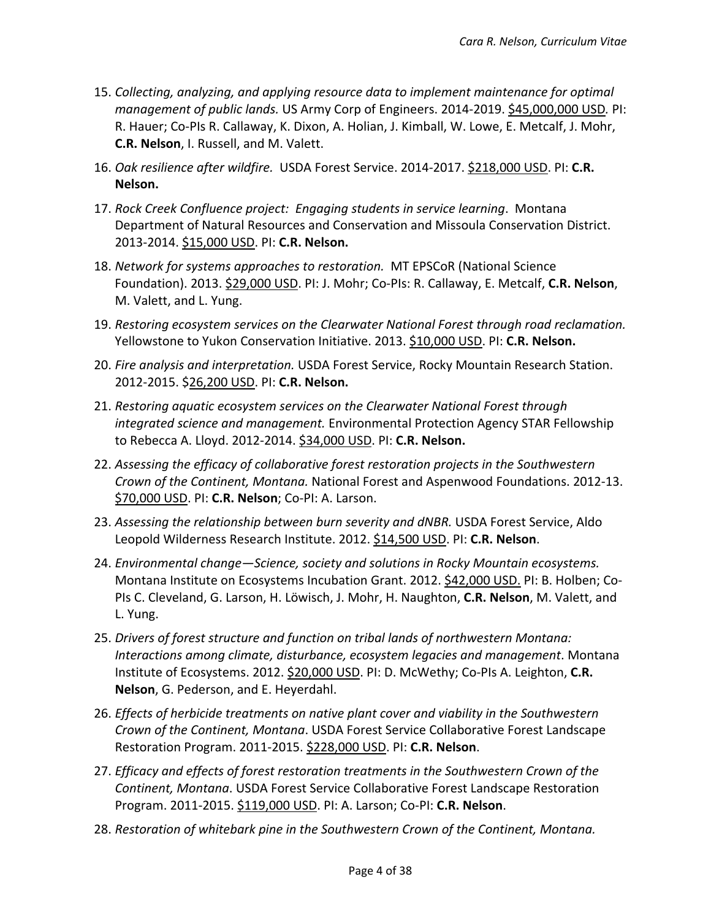- 15. *Collecting, analyzing, and applying resource data to implement maintenance for optimal management of public lands.* US Army Corp of Engineers. 2014-2019. \$45,000,000 USD*.* PI: R. Hauer; Co-PIs R. Callaway, K. Dixon, A. Holian, J. Kimball, W. Lowe, E. Metcalf, J. Mohr, **C.R. Nelson**, I. Russell, and M. Valett.
- 16. *Oak resilience after wildfire.* USDA Forest Service. 2014-2017. \$218,000 USD. PI: **C.R. Nelson.**
- 17. *Rock Creek Confluence project: Engaging students in service learning*. Montana Department of Natural Resources and Conservation and Missoula Conservation District. 2013-2014. \$15,000 USD. PI: **C.R. Nelson.**
- 18. *Network for systems approaches to restoration.* MT EPSCoR (National Science Foundation). 2013. \$29,000 USD. PI: J. Mohr; Co-PIs: R. Callaway, E. Metcalf, **C.R. Nelson**, M. Valett, and L. Yung.
- 19. *Restoring ecosystem services on the Clearwater National Forest through road reclamation.*  Yellowstone to Yukon Conservation Initiative. 2013. \$10,000 USD. PI: **C.R. Nelson.**
- 20. *Fire analysis and interpretation.* USDA Forest Service, Rocky Mountain Research Station. 2012-2015. \$26,200 USD. PI: **C.R. Nelson.**
- 21. *Restoring aquatic ecosystem services on the Clearwater National Forest through integrated science and management.* Environmental Protection Agency STAR Fellowship to Rebecca A. Lloyd. 2012-2014. \$34,000 USD. PI: **C.R. Nelson.**
- 22. *Assessing the efficacy of collaborative forest restoration projects in the Southwestern Crown of the Continent, Montana.* National Forest and Aspenwood Foundations. 2012-13. \$70,000 USD. PI: **C.R. Nelson**; Co-PI: A. Larson.
- 23. *Assessing the relationship between burn severity and dNBR.* USDA Forest Service, Aldo Leopold Wilderness Research Institute. 2012. \$14,500 USD. PI: **C.R. Nelson**.
- 24. *Environmental change—Science, society and solutions in Rocky Mountain ecosystems.*  Montana Institute on Ecosystems Incubation Grant. 2012. \$42,000 USD. PI: B. Holben; Co-PIs C. Cleveland, G. Larson, H. Löwisch, J. Mohr, H. Naughton, **C.R. Nelson**, M. Valett, and L. Yung.
- 25. *Drivers of forest structure and function on tribal lands of northwestern Montana: Interactions among climate, disturbance, ecosystem legacies and management*. Montana Institute of Ecosystems. 2012. \$20,000 USD. PI: D. McWethy; Co-PIs A. Leighton, **C.R. Nelson**, G. Pederson, and E. Heyerdahl.
- 26. *Effects of herbicide treatments on native plant cover and viability in the Southwestern Crown of the Continent, Montana*. USDA Forest Service Collaborative Forest Landscape Restoration Program. 2011-2015. \$228,000 USD. PI: **C.R. Nelson**.
- 27. *Efficacy and effects of forest restoration treatments in the Southwestern Crown of the Continent, Montana*. USDA Forest Service Collaborative Forest Landscape Restoration Program. 2011-2015. \$119,000 USD. PI: A. Larson; Co-PI: **C.R. Nelson**.
- 28. *Restoration of whitebark pine in the Southwestern Crown of the Continent, Montana.*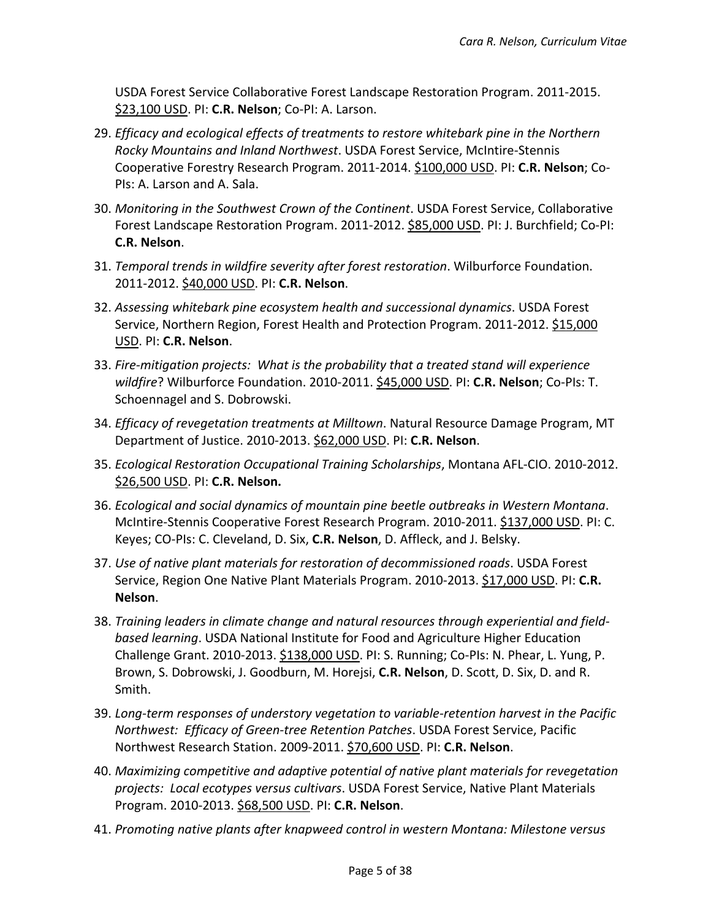USDA Forest Service Collaborative Forest Landscape Restoration Program. 2011-2015. \$23,100 USD. PI: **C.R. Nelson**; Co-PI: A. Larson.

- 29. *Efficacy and ecological effects of treatments to restore whitebark pine in the Northern Rocky Mountains and Inland Northwest*. USDA Forest Service, McIntire-Stennis Cooperative Forestry Research Program. 2011-2014. \$100,000 USD. PI: **C.R. Nelson**; Co-PIs: A. Larson and A. Sala.
- 30. *Monitoring in the Southwest Crown of the Continent*. USDA Forest Service, Collaborative Forest Landscape Restoration Program. 2011-2012. \$85,000 USD. PI: J. Burchfield; Co-PI: **C.R. Nelson**.
- 31. *Temporal trends in wildfire severity after forest restoration*. Wilburforce Foundation. 2011-2012. \$40,000 USD. PI: **C.R. Nelson**.
- 32. *Assessing whitebark pine ecosystem health and successional dynamics*. USDA Forest Service, Northern Region, Forest Health and Protection Program. 2011-2012. \$15,000 USD. PI: **C.R. Nelson**.
- 33. *Fire-mitigation projects: What is the probability that a treated stand will experience wildfire*? Wilburforce Foundation. 2010-2011. \$45,000 USD. PI: **C.R. Nelson**; Co-PIs: T. Schoennagel and S. Dobrowski.
- 34. *Efficacy of revegetation treatments at Milltown*. Natural Resource Damage Program, MT Department of Justice. 2010-2013. \$62,000 USD. PI: **C.R. Nelson**.
- 35. *Ecological Restoration Occupational Training Scholarships*, Montana AFL-CIO. 2010-2012. \$26,500 USD. PI: **C.R. Nelson.**
- 36. *Ecological and social dynamics of mountain pine beetle outbreaks in Western Montana*. McIntire-Stennis Cooperative Forest Research Program. 2010-2011. \$137,000 USD. PI: C. Keyes; CO-PIs: C. Cleveland, D. Six, **C.R. Nelson**, D. Affleck, and J. Belsky.
- 37. *Use of native plant materials for restoration of decommissioned roads*. USDA Forest Service, Region One Native Plant Materials Program. 2010-2013. \$17,000 USD. PI: **C.R. Nelson**.
- 38. *Training leaders in climate change and natural resources through experiential and fieldbased learning*. USDA National Institute for Food and Agriculture Higher Education Challenge Grant. 2010-2013. \$138,000 USD. PI: S. Running; Co-PIs: N. Phear, L. Yung, P. Brown, S. Dobrowski, J. Goodburn, M. Horejsi, **C.R. Nelson**, D. Scott, D. Six, D. and R. Smith.
- 39. *Long-term responses of understory vegetation to variable-retention harvest in the Pacific Northwest: Efficacy of Green-tree Retention Patches*. USDA Forest Service, Pacific Northwest Research Station. 2009-2011. \$70,600 USD. PI: **C.R. Nelson**.
- 40. *Maximizing competitive and adaptive potential of native plant materials for revegetation projects: Local ecotypes versus cultivars*. USDA Forest Service, Native Plant Materials Program. 2010-2013. \$68,500 USD. PI: **C.R. Nelson**.
- 41. *Promoting native plants after knapweed control in western Montana: Milestone versus*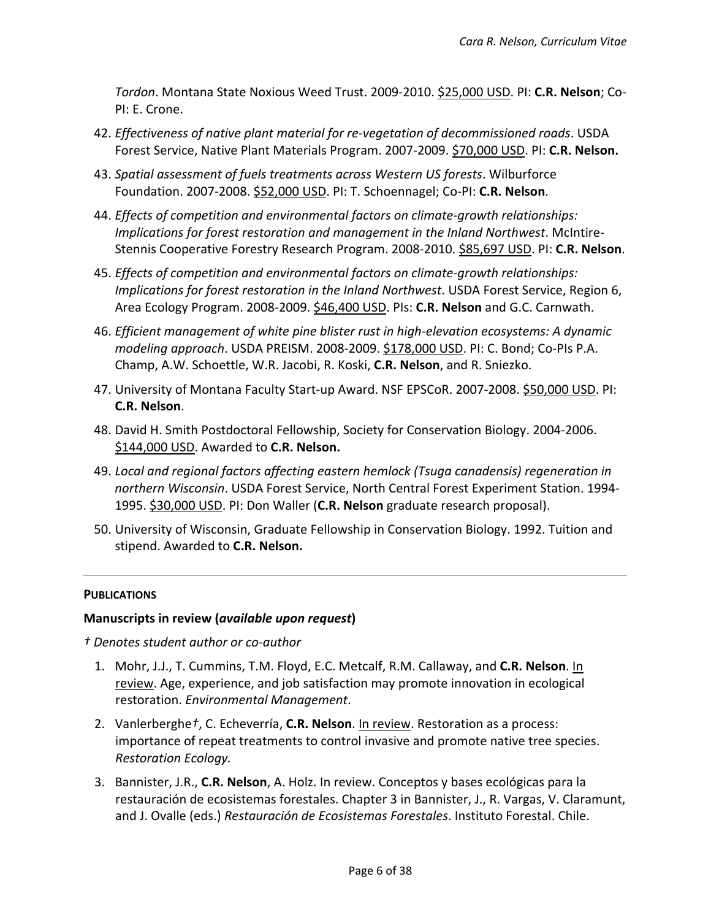*Tordon*. Montana State Noxious Weed Trust. 2009-2010. \$25,000 USD. PI: **C.R. Nelson**; Co-PI: E. Crone.

- 42. *Effectiveness of native plant material for re-vegetation of decommissioned roads*. USDA Forest Service, Native Plant Materials Program. 2007-2009. \$70,000 USD. PI: **C.R. Nelson.**
- 43. *Spatial assessment of fuels treatments across Western US forests*. Wilburforce Foundation. 2007-2008. \$52,000 USD. PI: T. Schoennagel; Co-PI: **C.R. Nelson**.
- 44. *Effects of competition and environmental factors on climate-growth relationships: Implications for forest restoration and management in the Inland Northwest*. McIntire-Stennis Cooperative Forestry Research Program. 2008-2010. \$85,697 USD. PI: **C.R. Nelson**.
- 45. *Effects of competition and environmental factors on climate-growth relationships: Implications for forest restoration in the Inland Northwest*. USDA Forest Service, Region 6, Area Ecology Program. 2008-2009. \$46,400 USD. PIs: **C.R. Nelson** and G.C. Carnwath.
- 46. *Efficient management of white pine blister rust in high-elevation ecosystems: A dynamic modeling approach*. USDA PREISM. 2008-2009. \$178,000 USD. PI: C. Bond; Co-PIs P.A. Champ, A.W. Schoettle, W.R. Jacobi, R. Koski, **C.R. Nelson**, and R. Sniezko.
- 47. University of Montana Faculty Start-up Award. NSF EPSCoR. 2007-2008. \$50,000 USD. PI: **C.R. Nelson**.
- 48. David H. Smith Postdoctoral Fellowship, Society for Conservation Biology. 2004-2006. \$144,000 USD. Awarded to **C.R. Nelson.**
- 49. *Local and regional factors affecting eastern hemlock (Tsuga canadensis) regeneration in northern Wisconsin*. USDA Forest Service, North Central Forest Experiment Station. 1994- 1995. \$30,000 USD. PI: Don Waller (**C.R. Nelson** graduate research proposal).
- 50. University of Wisconsin, Graduate Fellowship in Conservation Biology. 1992. Tuition and stipend. Awarded to **C.R. Nelson.**

## **PUBLICATIONS**

## **Manuscripts in review (***available upon request***)**

*† Denotes student author or co-author*

- 1. Mohr, J.J., T. Cummins, T.M. Floyd, E.C. Metcalf, R.M. Callaway, and **C.R. Nelson**. In review. Age, experience, and job satisfaction may promote innovation in ecological restoration. *Environmental Management*.
- 2. Vanlerberghe*†*, C. Echeverría, **C.R. Nelson**. In review. Restoration as a process: importance of repeat treatments to control invasive and promote native tree species. *Restoration Ecology.*
- 3. Bannister, J.R., **C.R. Nelson**, A. Holz. In review. Conceptos y bases ecológicas para la restauración de ecosistemas forestales. Chapter 3 in Bannister, J., R. Vargas, V. Claramunt, and J. Ovalle (eds.) *Restauración de Ecosistemas Forestales*. Instituto Forestal. Chile.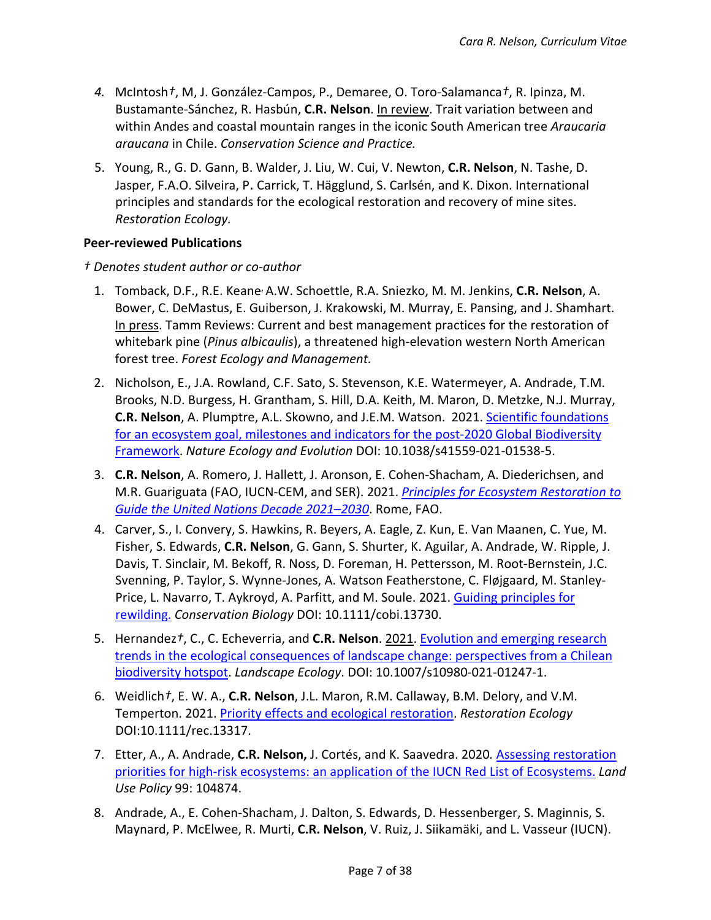- *4.* McIntosh*†*, M, J. González-Campos, P., Demaree, O. Toro-Salamanca*†*, R. Ipinza, M. Bustamante-Sánchez, R. Hasbún, **C.R. Nelson**. In review. Trait variation between and within Andes and coastal mountain ranges in the iconic South American tree *Araucaria araucana* in Chile. *Conservation Science and Practice.*
- 5. Young, R., G. D. Gann, B. Walder, J. Liu, W. Cui, V. Newton, **C.R. Nelson**, N. Tashe, D. Jasper, F.A.O. Silveira, P. Carrick, T. Hägglund, S. Carlsén, and K. Dixon. International principles and standards for the ecological restoration and recovery of mine sites. *Restoration Ecology.*

## **Peer-reviewed Publications**

*† Denotes student author or co-author*

- 1. Tomback, D.F., R.E. Keane, A.W. Schoettle, R.A. Sniezko, M. M. Jenkins, **C.R. Nelson**, A. Bower, C. DeMastus, E. Guiberson, J. Krakowski, M. Murray, E. Pansing, and J. Shamhart. In press. Tamm Reviews: Current and best management practices for the restoration of whitebark pine (*Pinus albicaulis*), a threatened high-elevation western North American forest tree. *Forest Ecology and Management.*
- 2. Nicholson, E., J.A. Rowland, C.F. Sato, S. Stevenson, K.E. Watermeyer, A. Andrade, T.M. Brooks, N.D. Burgess, H. Grantham, S. Hill, D.A. Keith, M. Maron, D. Metzke, N.J. Murray, **C.R. Nelson**, A. Plumptre, A.L. Skowno, and J.E.M. Watson. 2021. [Scientific foundations](https://www.nature.com/articles/s41559-021-01538-5.epdf?sharing_token=KU09EZjpb7Q6sp_Ob7Iax9RgN0jAjWel9jnR3ZoTv0P00e8ITYVZhc6hASr3-RTpNRKXKAlL1U7RPGfjoBROopkabGtffW7ebapCzW9Hw0OQY3WaqSnwTgraajImFJw-V0_hKk4pVvzSOtSfDfXogkvzzvu-CcSZtTZ96m0EiK8%3D)  [for an ecosystem goal, milestones and indicators for the post-2020 Global Biodiversity](https://www.nature.com/articles/s41559-021-01538-5.epdf?sharing_token=KU09EZjpb7Q6sp_Ob7Iax9RgN0jAjWel9jnR3ZoTv0P00e8ITYVZhc6hASr3-RTpNRKXKAlL1U7RPGfjoBROopkabGtffW7ebapCzW9Hw0OQY3WaqSnwTgraajImFJw-V0_hKk4pVvzSOtSfDfXogkvzzvu-CcSZtTZ96m0EiK8%3D)  [Framework.](https://www.nature.com/articles/s41559-021-01538-5.epdf?sharing_token=KU09EZjpb7Q6sp_Ob7Iax9RgN0jAjWel9jnR3ZoTv0P00e8ITYVZhc6hASr3-RTpNRKXKAlL1U7RPGfjoBROopkabGtffW7ebapCzW9Hw0OQY3WaqSnwTgraajImFJw-V0_hKk4pVvzSOtSfDfXogkvzzvu-CcSZtTZ96m0EiK8%3D) *Nature Ecology and Evolution* DOI: 10.1038/s41559-021-01538-5.
- 3. **C.R. Nelson**, A. Romero, J. Hallett, J. Aronson, E. Cohen-Shacham, A. Diederichsen, and M.R. Guariguata (FAO, IUCN-CEM, and SER). 2021. *[Principles for Ecosystem Restoration to](https://www.decadeonrestoration.org/publications/principles-ecosystem-restoration-guide-united-nations-decade-2021-2030)  [Guide the United Nations Decade 2021–2030](https://www.decadeonrestoration.org/publications/principles-ecosystem-restoration-guide-united-nations-decade-2021-2030)*. Rome, FAO.
- 4. Carver, S., I. Convery, S. Hawkins, R. Beyers, A. Eagle, Z. Kun, E. Van Maanen, C. Yue, M. Fisher, S. Edwards, **C.R. Nelson**, G. Gann, S. Shurter, K. Aguilar, A. Andrade, W. Ripple, J. Davis, T. Sinclair, M. Bekoff, R. Noss, D. Foreman, H. Pettersson, M. Root-Bernstein, J.C. Svenning, P. Taylor, S. Wynne-Jones, A. Watson Featherstone, C. Fløjgaard, M. Stanley-Price, L. Navarro, T. Aykroyd, A. Parfitt, and M. Soule. 2021. [Guiding principles for](https://conbio.onlinelibrary.wiley.com/doi/epdf/10.1111/cobi.13730)  [rewilding.](https://conbio.onlinelibrary.wiley.com/doi/epdf/10.1111/cobi.13730) *Conservation Biology* DOI: 10.1111/cobi.13730.
- 5. Hernandez*†*, C., C. Echeverria, and **C.R. Nelson**. 2021. [Evolution and emerging research](https://link.springer.com/article/10.1007/s10980-021-01247-1)  [trends in the ecological consequences of landscape change: perspectives from a Chilean](https://link.springer.com/article/10.1007/s10980-021-01247-1)  [biodiversity hotspot.](https://link.springer.com/article/10.1007/s10980-021-01247-1) *Landscape Ecology*. DOI: 10.1007/s10980-021-01247-1.
- 6. Weidlich*†*, E. W. A., **C.R. Nelson**, J.L. Maron, R.M. Callaway, B.M. Delory, and V.M. Temperton. 2021. [Priority effects and ecological restoration.](https://onlinelibrary.wiley.com/doi/pdf/10.1111/rec.13317) *Restoration Ecology* DOI:10.1111/rec.13317.
- 7. Etter, A., A. Andrade, **C.R. Nelson,** J. Cortés, and K. Saavedra. 2020*.* [Assessing restoration](https://doi.org/10.1016/j.landusepol.2020.104874)  [priorities for high-risk ecosystems: an application of the IUCN Red List of Ecosystems.](https://doi.org/10.1016/j.landusepol.2020.104874) *Land Use Policy* 99: 104874.
- 8. Andrade, A., E. Cohen-Shacham, J. Dalton, S. Edwards, D. Hessenberger, S. Maginnis, S. Maynard, P. McElwee, R. Murti, **C.R. Nelson**, V. Ruiz, J. Siikamäki, and L. Vasseur (IUCN).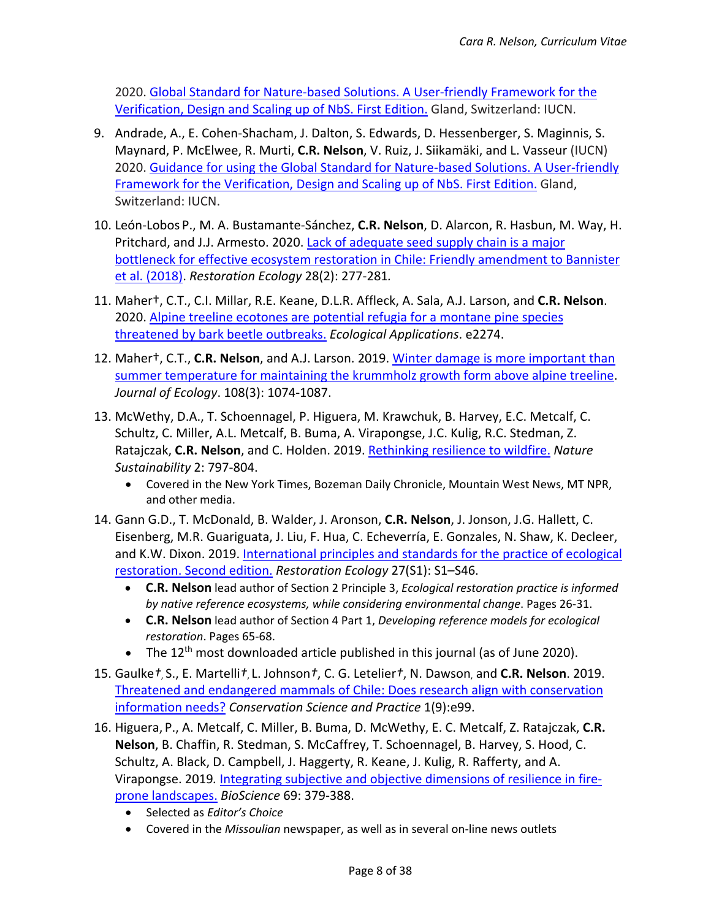2020. [Global Standard for Nature-based Solutions. A User-friendly Framework for the](https://portals.iucn.org/library/sites/library/files/documents/2020-020-En.pdf) [Verification, Design and Scaling up of NbS. First Edition.](https://portals.iucn.org/library/sites/library/files/documents/2020-020-En.pdf) Gland, Switzerland: IUCN.

- 9. Andrade, A., E. Cohen-Shacham, J. Dalton, S. Edwards, D. Hessenberger, S. Maginnis, S. Maynard, P. McElwee, R. Murti, **C.R. Nelson**, V. Ruiz, J. Siikamäki, and L. Vasseur (IUCN) 2020. [Guidance for using the Global Standard for Nature-based Solutions.](https://portals.iucn.org/library/sites/library/files/documents/2020-021-En.pdf) A User-friendly [Framework for the Verification, Design and Scaling up of NbS. First Edition.](https://portals.iucn.org/library/sites/library/files/documents/2020-021-En.pdf) Gland, Switzerland: IUCN.
- 10. León-Lobos P., M. A. Bustamante-Sánchez, **C.R. Nelson**, D. Alarcon, R. Hasbun, M. Way, H. Pritchard, and J.J. Armesto. 2020. [Lack of adequate seed supply chain is a major](https://doi.org/10.1111/rec.13113)  [bottleneck for effective ecosystem restoration in Chile: Friendly amendment to Bannister](https://doi.org/10.1111/rec.13113)  [et al. \(2018\).](https://doi.org/10.1111/rec.13113) *Restoration Ecology* 28(2): 277-281*.*
- 11. Maher†, C.T., C.I. Millar, R.E. Keane, D.L.R. Affleck, A. Sala, A.J. Larson, and **C.R. Nelson**. 2020. [Alpine treeline ecotones are potential refugia for a montane pine species](https://doi.org/10.1002/eap.2274)  [threatened by bark beetle outbreaks.](https://doi.org/10.1002/eap.2274) *Ecological Applications*. e2274.
- 12. Maher†, C.T., **C.R. Nelson**, and A.J. Larson. 2019. [Winter damage is more important than](https://doi.org/10.1111/1365-2745.13315)  [summer temperature for maintaining the krummholz growth form above alpine treeline.](https://doi.org/10.1111/1365-2745.13315) *Journal of Ecology*. 108(3): 1074-1087.
- 13. McWethy, D.A., T. Schoennagel, P. Higuera, M. Krawchuk, B. Harvey, E.C. Metcalf, C. Schultz, C. Miller, A.L. Metcalf, B. Buma, A. Virapongse, J.C. Kulig, R.C. Stedman, Z. Ratajczak, **C.R. Nelson**, and C. Holden. 2019. [Rethinking resilience to wildfire.](https://par.nsf.gov/servlets/purl/10158967) *Nature Sustainability* 2: 797-804.
	- Covered in the New York Times, Bozeman Daily Chronicle, Mountain West News, MT NPR, and other media.
- 14. Gann G.D., T. McDonald, B. Walder, J. Aronson, **C.R. Nelson**, J. Jonson, J.G. Hallett, C. Eisenberg, M.R. Guariguata, J. Liu, F. Hua, C. Echeverría, E. Gonzales, N. Shaw, K. Decleer, and K.W. Dixon. 2019. [International principles and standards for the practice of ecological](https://doi.org/10.1111/rec.13035)  [restoration. Second edition.](https://doi.org/10.1111/rec.13035) *Restoration Ecology* 27(S1): S1–S46.
	- **C.R. Nelson** lead author of Section 2 Principle 3, *Ecological restoration practice is informed by native reference ecosystems, while considering environmental change*. Pages 26-31.
	- **C.R. Nelson** lead author of Section 4 Part 1, *Developing reference models for ecological restoration*. Pages 65-68.
	- The 12<sup>th</sup> most downloaded article published in this journal (as of June 2020).
- 15. Gaulke*†*, S., E. Martelli*†*, L. Johnson*†*, C. G. Letelier*†*, N. Dawson, and **C.R. Nelson**. 2019. [Threatened and endangered mammals of Chile: Does research align with conservation](https://doi.org/10.1111/csp2.99)  [information needs?](https://doi.org/10.1111/csp2.99) *Conservation Science and Practice* 1(9):e99.
- 16. Higuera, P., A. Metcalf, C. Miller, B. Buma, D. McWethy, E. C. Metcalf, Z. Ratajczak, **C.R. Nelson**, B. Chaffin, R. Stedman, S. McCaffrey, T. Schoennagel, B. Harvey, S. Hood, C. Schultz, A. Black, D. Campbell, J. Haggerty, R. Keane, J. Kulig, R. Rafferty, and A. Virapongse. 2019*.* [Integrating subjective and objective dimensions of resilience in fire](https://doi.org/10.1093/biosci/biz030)[prone landscapes.](https://doi.org/10.1093/biosci/biz030) *BioScience* 69: 379-388.
	- Selected as *Editor's Choice*
	- Covered in the *Missoulian* newspaper, as well as in several on-line news outlets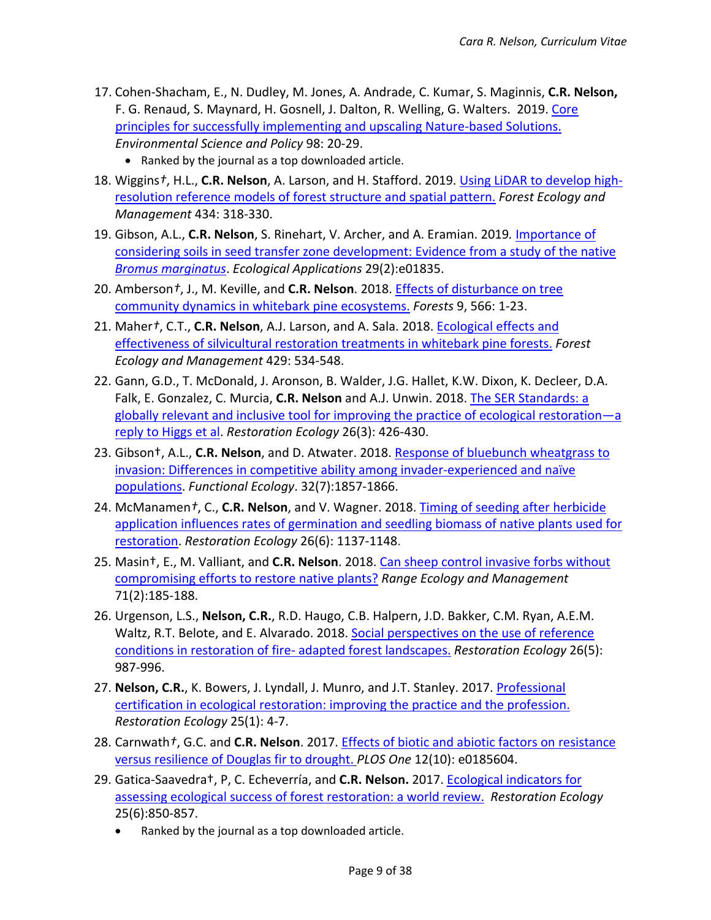- 17. Cohen-Shacham, E., N. Dudley, M. Jones, A. Andrade, C. Kumar, S. Maginnis, **C.R. Nelson,** F. G. Renaud, S. Maynard, H. Gosnell, J. Dalton, R. Welling, G. Walters. 2019. [Core](https://doi.org/10.1016/j.envsci.2019.04.014)  [principles for successfully implementing and upscaling Nature-based Solutions.](https://doi.org/10.1016/j.envsci.2019.04.014) *Environmental Science and Policy* 98: 20-29.
	- Ranked by the journal as a top downloaded article.
- 18. Wiggins*†*, H.L., **C.R. Nelson**, A. Larson, and H. Stafford. 2019. [Using LiDAR to develop high](https://doi.org/10.1016/j.foreco.2018.12.012)[resolution reference models of forest structure and spatial pattern.](https://doi.org/10.1016/j.foreco.2018.12.012) *Forest Ecology and Management* 434: 318-330.
- 19. Gibson, A.L., **C.R. Nelson**, S. Rinehart, V. Archer, and A. Eramian. 2019*.* [Importance of](https://doi.org/10.1002/eap.1835)  [considering soils in seed transfer zone development: Evidence from a study of the native](https://doi.org/10.1002/eap.1835)  *[Bromus marginatus](https://doi.org/10.1002/eap.1835)*. *Ecological Applications* 29(2):e01835.
- 20. Amberson*†*, J., M. Keville, and **C.R. Nelson**. 2018[. Effects of disturbance on tree](https://doi.org/10.3390/f9090566)  [community dynamics in whitebark pine ecosystems.](https://doi.org/10.3390/f9090566) *Forests* 9, 566: 1-23.
- 21. Maher*†*, C.T., **C.R. Nelson**, A.J. Larson, and A. Sala. 2018. [Ecological effects and](https://doi.org/10.1016/j.foreco.2018.07.040)  [effectiveness of silvicultural restoration treatments in whitebark pine forests.](https://doi.org/10.1016/j.foreco.2018.07.040) *Forest Ecology and Management* 429: 534-548.
- 22. Gann, G.D., T. McDonald, J. Aronson, B. Walder, J.G. Hallet, K.W. Dixon, K. Decleer, D.A. Falk, E. Gonzalez, C. Murcia, **C.R. Nelson** and A.J. Unwin. 2018. [The SER Standards: a](https://doi.org/10.1111/rec.12819)  [globally relevant and inclusive tool for improving the practice of ecological restoration—a](https://doi.org/10.1111/rec.12819)  [reply to Higgs et al.](https://doi.org/10.1111/rec.12819) *Restoration Ecology* 26(3): 426-430.
- 23. Gibson†, A.L., **C.R. Nelson**, and D. Atwater. 2018. [Response of bluebunch wheatgrass to](https://doi.org/10.1111/1365-2435.13090)  [invasion: Differences in competitive ability among invader-experienced and naïve](https://doi.org/10.1111/1365-2435.13090)  [populations.](https://doi.org/10.1111/1365-2435.13090) *Functional Ecology*. 32(7):1857-1866.
- 24. McManamen*†*, C., **C.R. Nelson**, and V. Wagner. 2018. [Timing of seeding after herbicide](https://www.researchgate.net/publication/323375385_Timing_of_seeding_after_herbicide_application_influences_rates_of_germination_and_seedling_biomass_of_native_plants_used_for_grassland_restoration_Timing_of_herbicide_impacts_seed_germination)  [application influences rates of germination and seedling biomass of native plants used for](https://www.researchgate.net/publication/323375385_Timing_of_seeding_after_herbicide_application_influences_rates_of_germination_and_seedling_biomass_of_native_plants_used_for_grassland_restoration_Timing_of_herbicide_impacts_seed_germination)  [restoration.](https://www.researchgate.net/publication/323375385_Timing_of_seeding_after_herbicide_application_influences_rates_of_germination_and_seedling_biomass_of_native_plants_used_for_grassland_restoration_Timing_of_herbicide_impacts_seed_germination) *Restoration Ecology* 26(6): 1137-1148.
- 25. Masin†, E., M. Valliant, and **C.R. Nelson**. 2018. [Can sheep control invasive forbs without](https://doi.org/10.1016/j.rama.2017.11.003)  [compromising efforts to restore native plants?](https://doi.org/10.1016/j.rama.2017.11.003) *Range Ecology and Management* 71(2):185-188.
- 26. Urgenson, L.S., **Nelson, C.R.**, R.D. Haugo, C.B. Halpern, J.D. Bakker, C.M. Ryan, A.E.M. Waltz, R.T. Belote, and E. Alvarado. 2018[. Social perspectives on the use of reference](https://doi.org/10.1111/rec.12640)  [conditions in restoration of fire-](https://doi.org/10.1111/rec.12640) adapted forest landscapes. *Restoration Ecology* 26(5): 987-996.
- 27. **Nelson, C.R.**, K. Bowers, J. Lyndall, J. Munro, and J.T. Stanley. 2017[. Professional](https://doi.org/10.1111/rec.12484)  [certification in ecological restoration: improving the practice and the profession.](https://doi.org/10.1111/rec.12484) *Restoration Ecology* 25(1): 4-7.
- 28. Carnwath*†*, G.C. and **C.R. Nelson**. 2017. [Effects of biotic and abiotic factors on resistance](http://journals.plos.org/plosone/article?id=10.1371/journal.pone.0185604)  [versus resilience of Douglas fir to drought.](http://journals.plos.org/plosone/article?id=10.1371/journal.pone.0185604) *PLOS One* 12(10): e0185604.
- 29. Gatica-Saavedra†, P, C. Echeverría, and **C.R. Nelson.** 2017. [Ecological indicators for](https://doi.org/10.1111/rec.12586)  [assessing ecological success of forest restoration: a world review.](https://doi.org/10.1111/rec.12586) *Restoration Ecology* 25(6):850-857.
	- Ranked by the journal as a top downloaded article.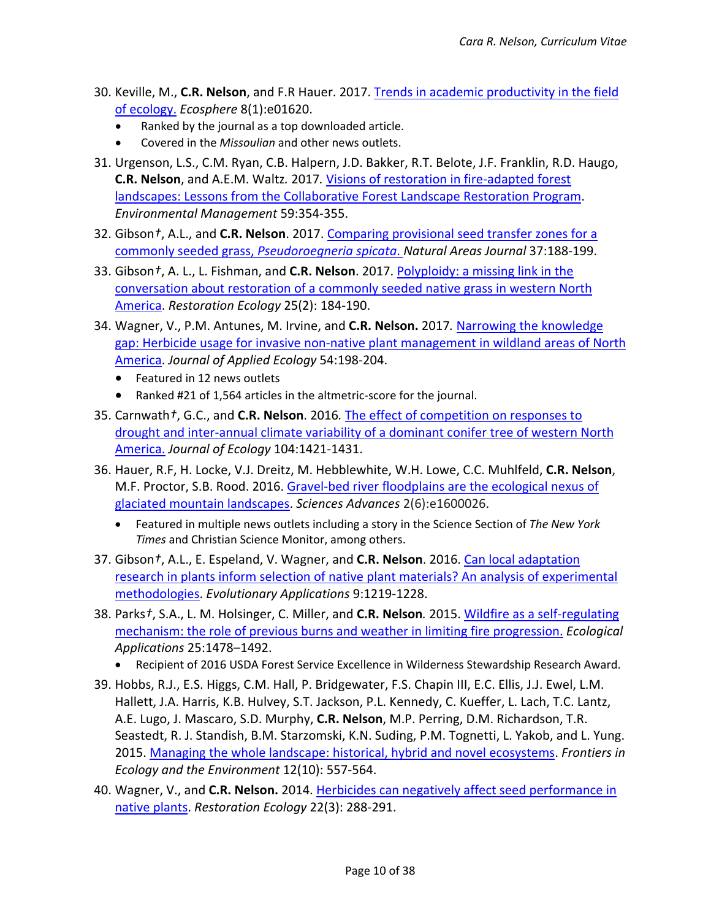- 30. Keville, M., **C.R. Nelson**, and F.R Hauer. 2017. [Trends in academic productivity in the field](http://onlinelibrary.wiley.com/doi/10.1002/ecs2.1620/full)  [of ecology.](http://onlinelibrary.wiley.com/doi/10.1002/ecs2.1620/full) *Ecosphere* 8(1):e01620.
	- Ranked by the journal as a top downloaded article.
	- Covered in the *Missoulian* and other news outlets.
- 31. Urgenson, L.S., C.M. Ryan, C.B. Halpern, J.D. Bakker, R.T. Belote, J.F. Franklin, R.D. Haugo, **C.R. Nelson**, and A.E.M. Waltz*.* 2017*.* [Visions of restoration in fire-adapted forest](https://link.springer.com/article/10.1007/s00267-016-0791-2)  [landscapes: Lessons from the Collaborative Forest Landscape Restoration Program.](https://link.springer.com/article/10.1007/s00267-016-0791-2) *Environmental Management* 59:354-355.
- 32. Gibson*†*, A.L., and **C.R. Nelson**. 2017. [Comparing provisional seed transfer zones for a](https://doi.org/10.3375/043.037.0208)  commonly seeded grass, *[Pseudoroegneria spicata](https://doi.org/10.3375/043.037.0208)*. *Natural Areas Journal* 37:188-199.
- 33. Gibson*†*, A. L., L. Fishman, and **C.R. Nelson**. 2017. [Polyploidy: a missing link in the](https://doi.org/10.1111/rec.12408)  [conversation about restoration of a commonly seeded native grass in western North](https://doi.org/10.1111/rec.12408)  [America.](https://doi.org/10.1111/rec.12408) *Restoration Ecology* 25(2): 184-190.
- 34. Wagner, V., P.M. Antunes, M. Irvine, and **C.R. Nelson.** 2017*.* [Narrowing the knowledge](http://onlinelibrary.wiley.com/doi/10.1111/1365-2664.12711/abstract)  [gap: Herbicide usage for invasive non-native plant management in](http://onlinelibrary.wiley.com/doi/10.1111/1365-2664.12711/abstract) wildland areas of North [America.](http://onlinelibrary.wiley.com/doi/10.1111/1365-2664.12711/abstract) *Journal of Applied Ecology* 54:198-204.
	- Featured in 12 news outlets
	- Ranked #21 of 1,564 articles in the altmetric-score for the journal.
- 35. Carnwath*†*, G.C., and **C.R. Nelson**. 2016*.* [The effect of competition on responses to](http://onlinelibrary.wiley.com/doi/10.1111/1365-2745.12604/full)  [drought and inter-annual climate variability of a dominant conifer tree of western North](http://onlinelibrary.wiley.com/doi/10.1111/1365-2745.12604/full)  [America.](http://onlinelibrary.wiley.com/doi/10.1111/1365-2745.12604/full) *Journal of Ecology* 104:1421-1431.
- 36. Hauer, R.F, H. Locke, V.J. Dreitz, M. Hebblewhite, W.H. Lowe, C.C. Muhlfeld, **C.R. Nelson**, M.F. Proctor, S.B. Rood. 2016. [Gravel-bed river floodplains are the ecological nexus of](http://advances.sciencemag.org/content/2/6/e1600026.full)  [glaciated mountain landscapes.](http://advances.sciencemag.org/content/2/6/e1600026.full) *Sciences Advances* 2(6):e1600026.
	- Featured in multiple news outlets including a story in the Science Section of *The New York Times* and Christian Science Monitor, among others.
- 37. Gibson*†*, A.L., E. Espeland, V. Wagner, and **C.R. Nelson**. 2016. [Can local adaptation](https://doi.org/10.1111/eva.12379)  [research in plants inform selection of native plant materials? An analysis of experimental](https://doi.org/10.1111/eva.12379)  [methodologies.](https://doi.org/10.1111/eva.12379) *Evolutionary Applications* 9:1219-1228.
- 38. Parks*†*, S.A., L. M. Holsinger, C. Miller, and **C.R. Nelson***.* 2015. [Wildfire as a self-regulating](https://www.cfc.umt.edu/research/nelsonrestorationlab/files/Parks_etal_2015_EcolAppl_preprint.pdf)  [mechanism: the role of previous burns and weather in limiting fire progression.](https://www.cfc.umt.edu/research/nelsonrestorationlab/files/Parks_etal_2015_EcolAppl_preprint.pdf) *Ecological Applications* 25:1478–1492.
	- Recipient of 2016 USDA Forest Service Excellence in Wilderness Stewardship Research Award.
- 39. Hobbs, R.J., E.S. Higgs, C.M. Hall, P. Bridgewater, F.S. Chapin III, E.C. Ellis, J.J. Ewel, L.M. Hallett, J.A. Harris, K.B. Hulvey, S.T. Jackson, P.L. Kennedy, C. Kueffer, L. Lach, T.C. Lantz, A.E. Lugo, J. Mascaro, S.D. Murphy, **C.R. Nelson**, M.P. Perring, D.M. Richardson, T.R. Seastedt, R. J. Standish, B.M. Starzomski, K.N. Suding, P.M. Tognetti, L. Yakob, and L. Yung. 2015. [Managing the whole landscape: historical, hybrid and novel ecosystems.](https://doi.org/10.1890/130300) *Frontiers in Ecology and the Environment* 12(10): 557-564.
- 40. Wagner, V., and **C.R. Nelson.** 2014. [Herbicides can negatively affect seed performance in](http://onlinelibrary.wiley.com/doi/10.1111/rec.12089/abstract)  [native plants.](http://onlinelibrary.wiley.com/doi/10.1111/rec.12089/abstract) *Restoration Ecology* 22(3): 288-291.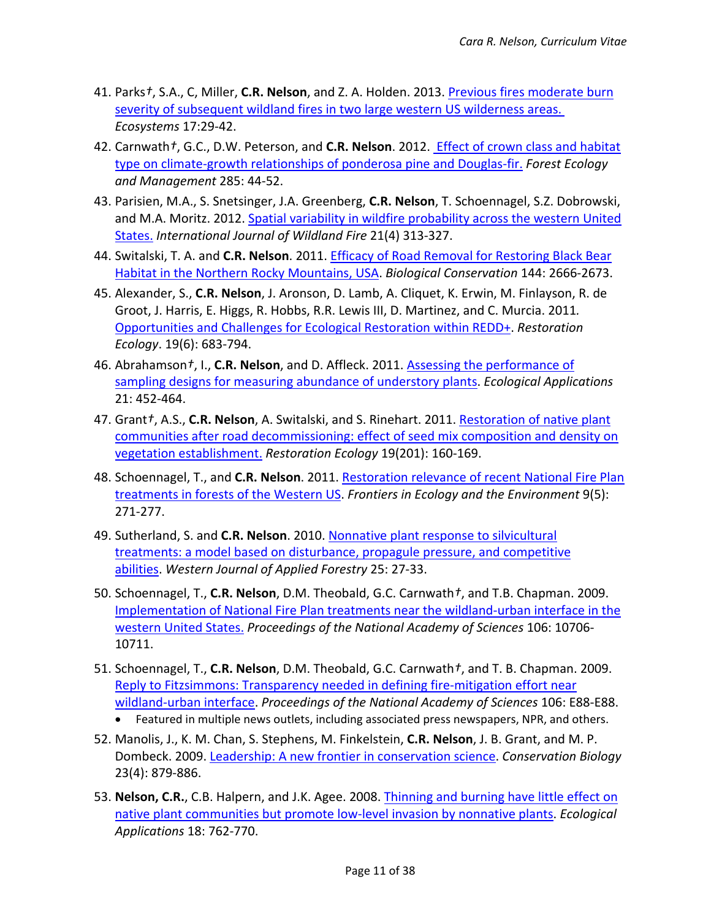- 41. Parks*†*, S.A., C, Miller, **C.R. Nelson**, and Z. A. Holden. 2013. [Previous fires moderate burn](https://link.springer.com/article/10.1007%2Fs10021-013-9704-x)  [severity of subsequent wildland fires in two large western US wilderness](https://link.springer.com/article/10.1007%2Fs10021-013-9704-x) areas. *Ecosystems* 17:29-42.
- 42. Carnwath*†*, G.C., D.W. Peterson, and **C.R. Nelson**. 2012. [Effect of crown class and habitat](http://www.sciencedirect.com/science/article/pii/S0378112712004501)  [type on climate-growth relationships of ponderosa pine and Douglas-fir.](http://www.sciencedirect.com/science/article/pii/S0378112712004501) *Forest Ecology and Management* 285: 44-52.
- 43. Parisien, M.A., S. Snetsinger, J.A. Greenberg, **C.R. Nelson**, T. Schoennagel, S.Z. Dobrowski, and M.A. Moritz. 2012. [Spatial variability in wildfire probability across the western United](https://www.researchgate.net/publication/261655012_Spatial_variability_in_wildfire_probability_across_the_western_United_States)  [States.](https://www.researchgate.net/publication/261655012_Spatial_variability_in_wildfire_probability_across_the_western_United_States) *International Journal of Wildland Fire* 21(4) 313-327.
- 44. Switalski, T. A. and **C.R. Nelson**. 2011[. Efficacy of Road Removal for Restoring Black Bear](http://www.sciencedirect.com/science/article/pii/S0006320711002898)  [Habitat in the Northern Rocky Mountains, USA.](http://www.sciencedirect.com/science/article/pii/S0006320711002898) *Biological Conservation* 144: 2666-2673.
- 45. Alexander, S., **C.R. Nelson**, J. Aronson, D. Lamb, A. Cliquet, K. Erwin, M. Finlayson, R. de Groot, J. Harris, E. Higgs, R. Hobbs, R.R. Lewis III, D. Martinez, and C. Murcia. 2011*.*  [Opportunities and Challenges for Ecological Restoration within REDD+.](https://doi.org/10.1111/j.1526-100X.2011.00822.x) *Restoration Ecology*. 19(6): 683-794.
- 46. Abrahamson*†*, I., **C.R. Nelson**, and D. Affleck. 2011. [Assessing the performance of](http://onlinelibrary.wiley.com/doi/10.1890/09-2296.1/abstract)  [sampling designs for measuring abundance of understory plants.](http://onlinelibrary.wiley.com/doi/10.1890/09-2296.1/abstract) *Ecological Applications* 21: 452-464.
- 47. Grant*†*, A.S., **C.R. Nelson**, A. Switalski, and S. Rinehart. 2011. [Restoration of native plant](https://doi.org/10.1111/j.1526-100X.2010.00736.x)  [communities after road decommissioning: effect of seed mix composition and density on](https://doi.org/10.1111/j.1526-100X.2010.00736.x)  [vegetation establishment.](https://doi.org/10.1111/j.1526-100X.2010.00736.x) *Restoration Ecology* 19(201): 160-169.
- 48. Schoennagel, T., and **C.R. Nelson**. 2011. [Restoration relevance of recent National Fire Plan](http://onlinelibrary.wiley.com/doi/10.1890/090199/abstract)  [treatments in forests of the Western US.](http://onlinelibrary.wiley.com/doi/10.1890/090199/abstract) *Frontiers in Ecology and the Environment* 9(5): 271-277.
- 49. Sutherland, S. and **C.R. Nelson**. 2010. [Nonnative plant response to silvicultural](https://www.fs.usda.gov/treesearch/pubs/39029)  [treatments: a model based on disturbance, propagule pressure, and competitive](https://www.fs.usda.gov/treesearch/pubs/39029)  [abilities.](https://www.fs.usda.gov/treesearch/pubs/39029) *Western Journal of Applied Forestry* 25: 27-33.
- 50. Schoennagel, T., **C.R. Nelson**, D.M. Theobald, G.C. Carnwath*†*, and T.B. Chapman. 2009. [Implementation of National Fire Plan treatments near the wildland-urban interface in the](http://www.pnas.org/content/106/26/10706)  [western United States.](http://www.pnas.org/content/106/26/10706) *Proceedings of the National Academy of Sciences* 106: 10706- 10711.
- 51. Schoennagel, T., **C.R. Nelson**, D.M. Theobald, G.C. Carnwath*†*, and T. B. Chapman. 2009. [Reply to Fitzsimmons: Transparency needed in defining fire-mitigation effort near](https://www.ncbi.nlm.nih.gov/pmc/articles/PMC2729045/)  [wildland-urban interface.](https://www.ncbi.nlm.nih.gov/pmc/articles/PMC2729045/) *Proceedings of the National Academy of Sciences* 106: E88-E88. • Featured in multiple news outlets, including associated press newspapers, NPR, and others.
- 52. Manolis, J., K. M. Chan, S. Stephens, M. Finkelstein, **C.R. Nelson**, J. B. Grant, and M. P. Dombeck. 2009[. Leadership: A new frontier in conservation science.](https://www.ncbi.nlm.nih.gov/pubmed/19183215) *Conservation Biology* 23(4): 879-886.
- 53. **Nelson, C.R.**, C.B. Halpern, and J.K. Agee. 2008. [Thinning and burning have little effect on](https://doi.org/10.1890/07-0474.1)  [native plant communities but promote low-level invasion by nonnative plants.](https://doi.org/10.1890/07-0474.1) *Ecological Applications* 18: 762-770.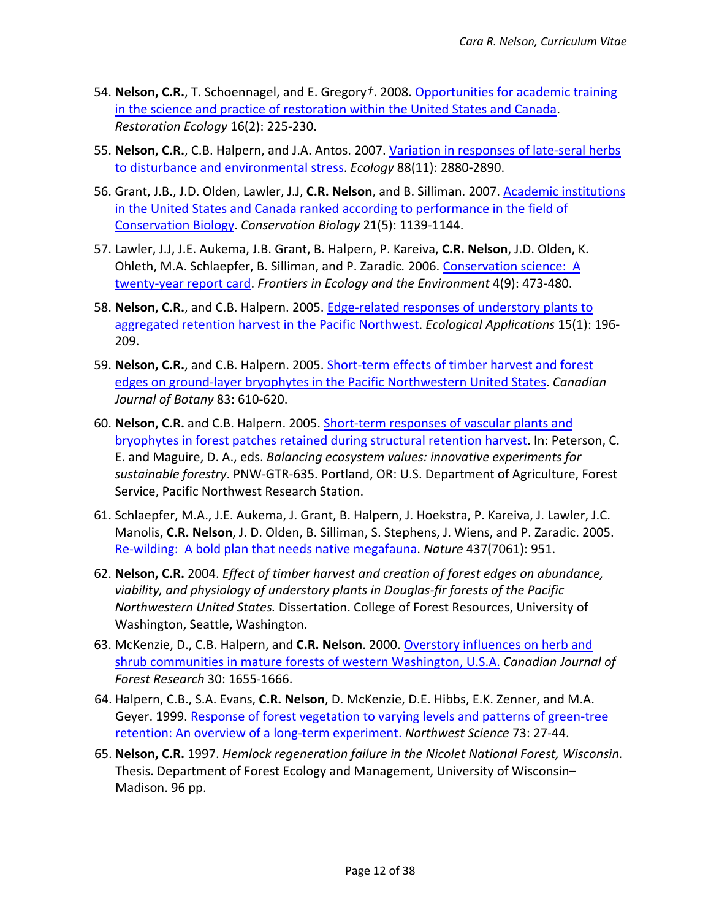- 54. **Nelson, C.R.**, T. Schoennagel, and E. Gregory*†*. 2008. [Opportunities for academic training](http://onlinelibrary.wiley.com/doi/10.1111/j.1526-100X.2007.00352.x/abstract)  [in the science and practice of restoration within the United States and Canada.](http://onlinelibrary.wiley.com/doi/10.1111/j.1526-100X.2007.00352.x/abstract) *Restoration Ecology* 16(2): 225-230.
- 55. **Nelson, C.R.**, C.B. Halpern, and J.A. Antos. 2007. [Variation in responses of late-seral herbs](https://www.ncbi.nlm.nih.gov/pubmed/18051657)  [to disturbance and environmental stress.](https://www.ncbi.nlm.nih.gov/pubmed/18051657) *Ecology* 88(11): 2880-2890.
- 56. Grant, J.B., J.D. Olden, Lawler, J.J, **C.R. Nelson**, and B. Silliman. 2007. [Academic institutions](https://www.researchgate.net/publication/5960646_Academic_Institutions_in_the_United_States_and_Canada_Ranked_According_to_Research_Productivity_in_the_Field_of_Conservation_Biology)  [in the United States and Canada ranked according to performance in the field of](https://www.researchgate.net/publication/5960646_Academic_Institutions_in_the_United_States_and_Canada_Ranked_According_to_Research_Productivity_in_the_Field_of_Conservation_Biology)  [Conservation Biology.](https://www.researchgate.net/publication/5960646_Academic_Institutions_in_the_United_States_and_Canada_Ranked_According_to_Research_Productivity_in_the_Field_of_Conservation_Biology) *Conservation Biology* 21(5): 1139-1144.
- 57. Lawler, J.J, J.E. Aukema, J.B. Grant, B. Halpern, P. Kareiva, **C.R. Nelson**, J.D. Olden, K. Ohleth, M.A. Schlaepfer, B. Silliman, and P. Zaradic*.* 2006. [Conservation science:](http://onlinelibrary.wiley.com/doi/10.1890/1540-9295(2006)4%5B473:CSAYRC%5D2.0.CO%3B2/abstract) A [twenty-year report card.](http://onlinelibrary.wiley.com/doi/10.1890/1540-9295(2006)4%5B473:CSAYRC%5D2.0.CO%3B2/abstract) *Frontiers in Ecology and the Environment* 4(9): 473-480.
- 58. **Nelson, C.R.**, and C.B. Halpern. 2005. [Edge-related responses of understory plants to](http://onlinelibrary.wiley.com/doi/10.1890/03-6002/abstract)  [aggregated retention harvest in the Pacific Northwest.](http://onlinelibrary.wiley.com/doi/10.1890/03-6002/abstract) *Ecological Applications* 15(1): 196- 209.
- 59. **Nelson, C.R.**, and C.B. Halpern. 2005. [Short-term effects of timber harvest and forest](http://www.nrcresearchpress.com/doi/abs/10.1139/b05-036#.WfjnsmhSyUk)  [edges on ground-layer bryophytes in the Pacific Northwestern United States.](http://www.nrcresearchpress.com/doi/abs/10.1139/b05-036#.WfjnsmhSyUk) *Canadian Journal of Botany* 83: 610-620.
- 60. **Nelson, C.R.** and C.B. Halpern. 2005. [Short-term responses of vascular plants and](https://www.fs.fed.us/pnw/pubs/pnw_gtr635.pdf#page=380)  [bryophytes in forest patches retained during structural retention harvest.](https://www.fs.fed.us/pnw/pubs/pnw_gtr635.pdf#page=380) In: Peterson, C. E. and Maguire, D. A., eds. *Balancing ecosystem values: innovative experiments for sustainable forestry*. PNW-GTR-635. Portland, OR: U.S. Department of Agriculture, Forest Service, Pacific Northwest Research Station.
- 61. Schlaepfer, M.A., J.E. Aukema, J. Grant, B. Halpern, J. Hoekstra, P. Kareiva, J. Lawler, J.C. Manolis, **C.R. Nelson**, J. D. Olden, B. Silliman, S. Stephens, J. Wiens, and P. Zaradic. 2005. Re-wilding: [A bold plan that needs native megafauna.](https://www.researchgate.net/publication/7544528_Re-wilding_a_bold_plan_that_needs_native_megafauna) *Nature* 437(7061): 951.
- 62. **Nelson, C.R.** 2004. *Effect of timber harvest and creation of forest edges on abundance, viability, and physiology of understory plants in Douglas-fir forests of the Pacific Northwestern United States.* Dissertation. College of Forest Resources, University of Washington, Seattle, Washington.
- 63. McKenzie, D., C.B. Halpern, and **C.R. Nelson**. 2000. [Overstory influences on herb and](http://www.nrcresearchpress.com/doi/abs/10.1139/x00-091#.Wfjn-GhSyUk)  [shrub communities in mature forests of western Washington, U.S.A.](http://www.nrcresearchpress.com/doi/abs/10.1139/x00-091#.Wfjn-GhSyUk) *Canadian Journal of Forest Research* 30: 1655-1666.
- 64. Halpern, C.B., S.A. Evans, **C.R. Nelson**, D. McKenzie, D.E. Hibbs, E.K. Zenner, and M.A. Geyer. 1999. Response of forest vegetation [to varying levels and patterns of green-tree](http://faculty.washington.edu/chalpern/Halpern%20et%20al.%201999_NWSci_DEMO.pdf)  [retention: An overview of a long-term experiment.](http://faculty.washington.edu/chalpern/Halpern%20et%20al.%201999_NWSci_DEMO.pdf) *Northwest Science* 73: 27-44.
- 65. **Nelson, C.R.** 1997. *Hemlock regeneration failure in the Nicolet National Forest, Wisconsin.* Thesis. Department of Forest Ecology and Management, University of Wisconsin– Madison. 96 pp.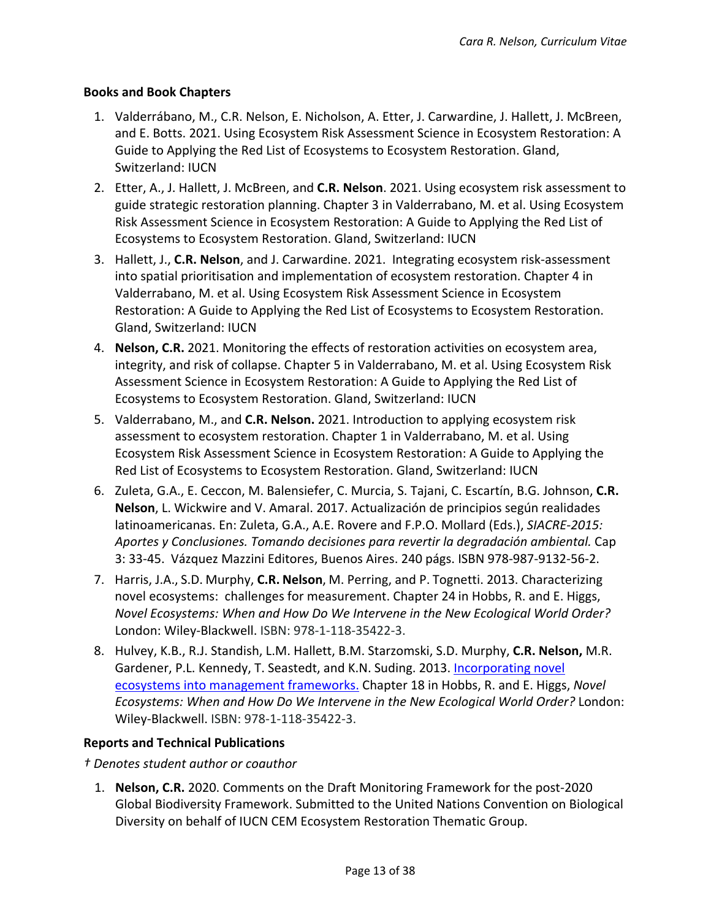# **Books and Book Chapters**

- 1. Valderrábano, M., C.R. Nelson, E. Nicholson, A. Etter, J. Carwardine, J. Hallett, J. McBreen, and E. Botts. 2021. Using Ecosystem Risk Assessment Science in Ecosystem Restoration: A Guide to Applying the Red List of Ecosystems to Ecosystem Restoration. Gland, Switzerland: IUCN
- 2. Etter, A., J. Hallett, J. McBreen, and **C.R. Nelson**. 2021. Using ecosystem risk assessment to guide strategic restoration planning. Chapter 3 in Valderrabano, M. et al. Using Ecosystem Risk Assessment Science in Ecosystem Restoration: A Guide to Applying the Red List of Ecosystems to Ecosystem Restoration. Gland, Switzerland: IUCN
- 3. Hallett, J., **C.R. Nelson**, and J. Carwardine. 2021. Integrating ecosystem risk-assessment into spatial prioritisation and implementation of ecosystem restoration. Chapter 4 in Valderrabano, M. et al. Using Ecosystem Risk Assessment Science in Ecosystem Restoration: A Guide to Applying the Red List of Ecosystems to Ecosystem Restoration. Gland, Switzerland: IUCN
- 4. **Nelson, C.R.** 2021. Monitoring the effects of restoration activities on ecosystem area, integrity, and risk of collapse. Chapter 5 in Valderrabano, M. et al. Using Ecosystem Risk Assessment Science in Ecosystem Restoration: A Guide to Applying the Red List of Ecosystems to Ecosystem Restoration. Gland, Switzerland: IUCN
- 5. Valderrabano, M., and **C.R. Nelson.** 2021. Introduction to applying ecosystem risk assessment to ecosystem restoration. Chapter 1 in Valderrabano, M. et al. Using Ecosystem Risk Assessment Science in Ecosystem Restoration: A Guide to Applying the Red List of Ecosystems to Ecosystem Restoration. Gland, Switzerland: IUCN
- 6. Zuleta, G.A., E. Ceccon, M. Balensiefer, C. Murcia, S. Tajani, C. Escartín, B.G. Johnson, **C.R. Nelson**, L. Wickwire and V. Amaral. 2017. Actualización de principios según realidades latinoamericanas. En: Zuleta, G.A., A.E. Rovere and F.P.O. Mollard (Eds.), *SIACRE-2015: Aportes y Conclusiones. Tomando decisiones para revertir la degradación ambiental.* Cap 3: 33-45. Vázquez Mazzini Editores, Buenos Aires. 240 págs. ISBN 978-987-9132-56-2.
- 7. Harris, J.A., S.D. Murphy, **C.R. Nelson**, M. Perring, and P. Tognetti. 2013. Characterizing novel ecosystems: challenges for measurement. Chapter 24 in Hobbs, R. and E. Higgs, *Novel Ecosystems: When and How Do We Intervene in the New Ecological World Order?*  London: Wiley-Blackwell. ISBN: 978-1-118-35422-3.
- 8. Hulvey, K.B., R.J. Standish, L.M. Hallett, B.M. Starzomski, S.D. Murphy, **C.R. Nelson,** M.R. Gardener, P.L. Kennedy, T. Seastedt, and K.N. Suding. 2013. [Incorporating novel](https://qcnr.usu.edu/labs/hulvey_lab/files/documents/Hulvey%20et%20al%202013%20ch18.pdf)  [ecosystems into management frameworks.](https://qcnr.usu.edu/labs/hulvey_lab/files/documents/Hulvey%20et%20al%202013%20ch18.pdf) Chapter 18 in Hobbs, R. and E. Higgs, *Novel Ecosystems: When and How Do We Intervene in the New Ecological World Order?* London: Wiley-Blackwell. ISBN: 978-1-118-35422-3.

# **Reports and Technical Publications**

*† Denotes student author or coauthor*

1. **Nelson, C.R.** 2020. Comments on the Draft Monitoring Framework for the post-2020 Global Biodiversity Framework. Submitted to the United Nations Convention on Biological Diversity on behalf of IUCN CEM Ecosystem Restoration Thematic Group.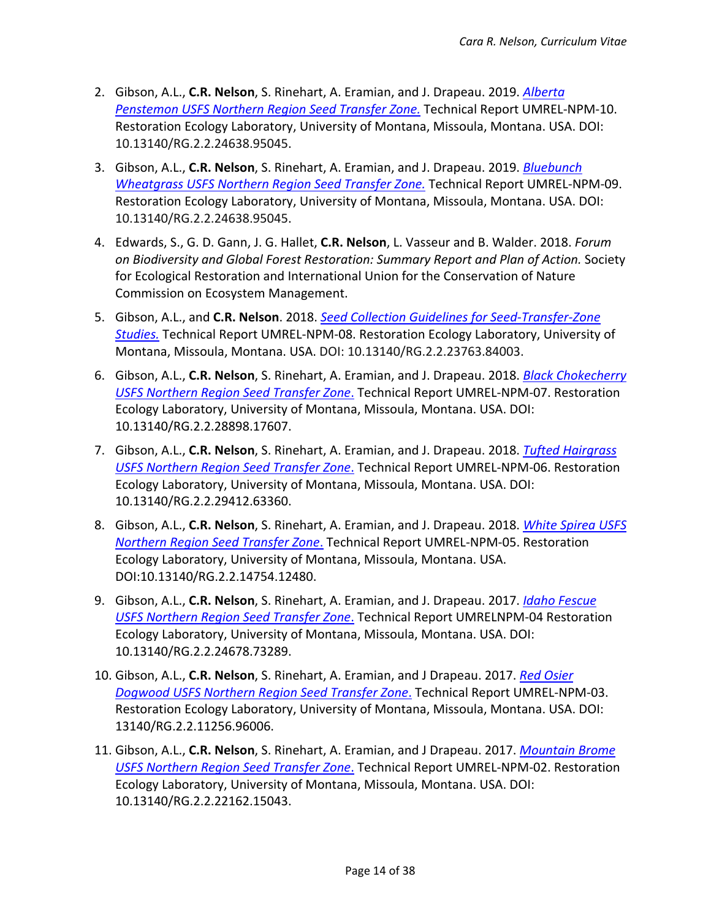- 2. Gibson, A.L., **C.R. Nelson**, S. Rinehart, A. Eramian, and J. Drapeau. 2019. *[Alberta](http://dx.doi.org/10.13140/RG.2.2.16646.32323true)  [Penstemon USFS Northern Region Seed Transfer Zone.](http://dx.doi.org/10.13140/RG.2.2.16646.32323true)* Technical Report UMREL-NPM-10. Restoration Ecology Laboratory, University of Montana, Missoula, Montana. USA. DOI: 10.13140/RG.2.2.24638.95045.
- 3. Gibson, A.L., **C.R. Nelson**, S. Rinehart, A. Eramian, and J. Drapeau. 2019. *[Bluebunch](http://dx.doi.org/10.13140/RG.2.2.24638.95045/1)  [Wheatgrass USFS Northern Region Seed Transfer Zone.](http://dx.doi.org/10.13140/RG.2.2.24638.95045/1)* Technical Report UMREL-NPM-09. Restoration Ecology Laboratory, University of Montana, Missoula, Montana. USA. DOI: 10.13140/RG.2.2.24638.95045.
- 4. Edwards, S., G. D. Gann, J. G. Hallet, **C.R. Nelson**, L. Vasseur and B. Walder. 2018. *Forum on Biodiversity and Global Forest Restoration: Summary Report and Plan of Action.* Society for Ecological Restoration and International Union for the Conservation of Nature Commission on Ecosystem Management.
- 5. Gibson, A.L., and **C.R. Nelson**. 2018. *[Seed Collection Guidelines for Seed-Transfer-Zone](http://dx.doi.org/10.13140/RG.2.2.23763.84003)  [Studies.](http://dx.doi.org/10.13140/RG.2.2.23763.84003)* Technical Report UMREL-NPM-08. Restoration Ecology Laboratory, University of Montana, Missoula, Montana. USA. DOI: 10.13140/RG.2.2.23763.84003.
- 6. Gibson, A.L., **C.R. Nelson**, S. Rinehart, A. Eramian, and J. Drapeau. 2018. *[Black Chokecherry](https://www.researchgate.net/publication/328364974_Black_Chokecherry_USFS_Northern_Region_Seed_Transfer_Zone_Technical_Report_UMREL-NPM-07)  [USFS Northern Region Seed Transfer Zone](https://www.researchgate.net/publication/328364974_Black_Chokecherry_USFS_Northern_Region_Seed_Transfer_Zone_Technical_Report_UMREL-NPM-07)*. Technical Report UMREL-NPM-07. Restoration Ecology Laboratory, University of Montana, Missoula, Montana. USA. DOI: 10.13140/RG.2.2.28898.17607.
- 7. Gibson, A.L., **C.R. Nelson**, S. Rinehart, A. Eramian, and J. Drapeau. 2018. *[Tufted Hairgrass](https://www.researchgate.net/publication/328049228_Tufted_Hairgrass_USFS_Northern_Region_Seed_Transfer_Zone)  [USFS Northern Region Seed Transfer Zone](https://www.researchgate.net/publication/328049228_Tufted_Hairgrass_USFS_Northern_Region_Seed_Transfer_Zone)*. Technical Report UMREL-NPM-06. Restoration Ecology Laboratory, University of Montana, Missoula, Montana. USA. DOI: 10.13140/RG.2.2.29412.63360.
- 8. Gibson, A.L., **C.R. Nelson**, S. Rinehart, A. Eramian, and J. Drapeau. 2018. *[White Spirea USFS](https://www.researchgate.net/publication/324759426_White_Spirea_USFS_Northern_Region_Seed_Transfer)  [Northern Region Seed Transfer Zone](https://www.researchgate.net/publication/324759426_White_Spirea_USFS_Northern_Region_Seed_Transfer)*. Technical Report UMREL-NPM-05. Restoration Ecology Laboratory, University of Montana, Missoula, Montana. USA. DOI:10.13140/RG.2.2.14754.12480.
- 9. Gibson, A.L., **C.R. Nelson**, S. Rinehart, A. Eramian, and J. Drapeau. 2017. *[Idaho Fescue](http://dx.doi.org/10.13140/RG.2.2.24678.73289)  [USFS Northern Region Seed Transfer Zone](http://dx.doi.org/10.13140/RG.2.2.24678.73289)*. Technical Report UMRELNPM-04 Restoration Ecology Laboratory, University of Montana, Missoula, Montana. USA. DOI: 10.13140/RG.2.2.24678.73289.
- 10. Gibson, A.L., **C.R. Nelson**, S. Rinehart, A. Eramian, and J Drapeau. 2017. *[Red Osier](http://dx.doi.org/10.13140/RG.2.2.11256.96006)  Dogwood USFS [Northern Region Seed Transfer Zone](http://dx.doi.org/10.13140/RG.2.2.11256.96006)*. Technical Report UMREL-NPM-03. Restoration Ecology Laboratory, University of Montana, Missoula, Montana. USA. DOI: 13140/RG.2.2.11256.96006.
- 11. Gibson, A.L., **C.R. Nelson**, S. Rinehart, A. Eramian, and J Drapeau. 2017. *[Mountain Brome](http://dx.doi.org/10.13140/RG.2.2.22162.15043) [USFS Northern Region Seed Transfer Zone](http://dx.doi.org/10.13140/RG.2.2.22162.15043)*. Technical Report UMREL-NPM-02. Restoration Ecology Laboratory, University of Montana, Missoula, Montana. USA. DOI: 10.13140/RG.2.2.22162.15043.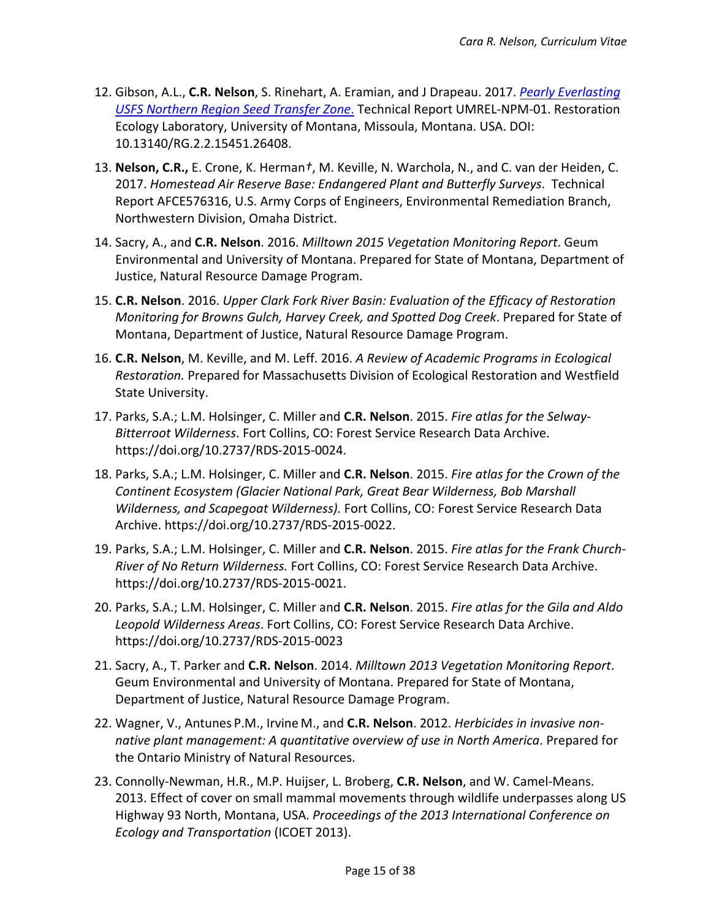- 12. Gibson, A.L., **C.R. Nelson**, S. Rinehart, A. Eramian, and J Drapeau. 2017. *[Pearly Everlasting](http://dx.doi.org/10.13140/RG.2.2.15451.26408) [USFS Northern Region Seed Transfer Zone](http://dx.doi.org/10.13140/RG.2.2.15451.26408)*. Technical Report UMREL-NPM-01. Restoration Ecology Laboratory, University of Montana, Missoula, Montana. USA. DOI: 10.13140/RG.2.2.15451.26408.
- 13. **Nelson, C.R.,** E. Crone, K. Herman*†*, M. Keville, N. Warchola, N., and C. van der Heiden, C. 2017. *Homestead Air Reserve Base: Endangered Plant and Butterfly Surveys*. Technical Report AFCE576316, U.S. Army Corps of Engineers, Environmental Remediation Branch, Northwestern Division, Omaha District.
- 14. Sacry, A., and **C.R. Nelson**. 2016. *Milltown 2015 Vegetation Monitoring Report*. Geum Environmental and University of Montana. Prepared for State of Montana, Department of Justice, Natural Resource Damage Program.
- 15. **C.R. Nelson**. 2016. *Upper Clark Fork River Basin: Evaluation of the Efficacy of Restoration Monitoring for Browns Gulch, Harvey Creek, and Spotted Dog Creek*. Prepared for State of Montana, Department of Justice, Natural Resource Damage Program.
- 16. **C.R. Nelson**, M. Keville, and M. Leff. 2016. *A Review of Academic Programs in Ecological Restoration.* Prepared for Massachusetts Division of Ecological Restoration and Westfield State University.
- 17. Parks, S.A.; L.M. Holsinger, C. Miller and **C.R. Nelson**. 2015. *Fire atlas for the Selway-Bitterroot Wilderness*. Fort Collins, CO: Forest Service Research Data Archive. https://doi.org/10.2737/RDS-2015-0024.
- 18. Parks, S.A.; L.M. Holsinger, C. Miller and **C.R. Nelson**. 2015. *Fire atlas for the Crown of the Continent Ecosystem (Glacier National Park, Great Bear Wilderness, Bob Marshall Wilderness, and Scapegoat Wilderness).* Fort Collins, CO: Forest Service Research Data Archive. https://doi.org/10.2737/RDS-2015-0022.
- 19. Parks, S.A.; L.M. Holsinger, C. Miller and **C.R. Nelson**. 2015. *Fire atlas for the Frank Church-River of No Return Wilderness.* Fort Collins, CO: Forest Service Research Data Archive. https://doi.org/10.2737/RDS-2015-0021.
- 20. Parks, S.A.; L.M. Holsinger, C. Miller and **C.R. Nelson**. 2015. *Fire atlas for the Gila and Aldo Leopold Wilderness Areas*. Fort Collins, CO: Forest Service Research Data Archive. https://doi.org/10.2737/RDS-2015-0023
- 21. Sacry, A., T. Parker and **C.R. Nelson**. 2014. *Milltown 2013 Vegetation Monitoring Report*. Geum Environmental and University of Montana. Prepared for State of Montana, Department of Justice, Natural Resource Damage Program.
- 22. Wagner, V., Antunes P.M., Irvine M., and **C.R. Nelson**. 2012. *Herbicides in invasive nonnative plant management: A quantitative overview of use in North America*. Prepared for the Ontario Ministry of Natural Resources.
- 23. Connolly-Newman, H.R., M.P. Huijser, L. Broberg, **C.R. Nelson**, and W. Camel-Means. 2013. Effect of cover on small mammal movements through wildlife underpasses along US Highway 93 North, Montana, USA. *Proceedings of the 2013 International Conference on Ecology and Transportation* (ICOET 2013).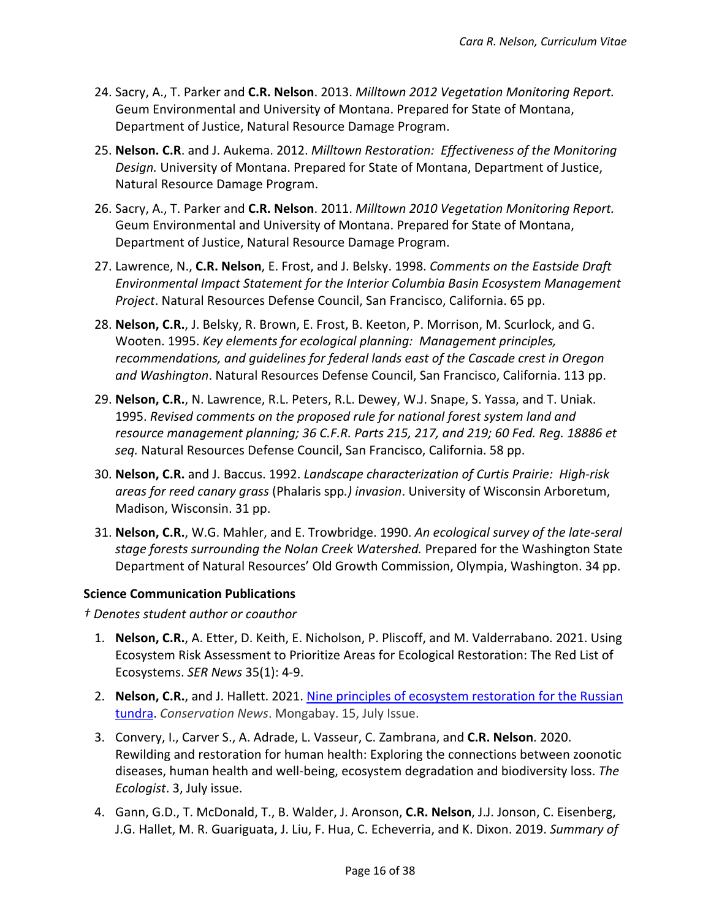- 24. Sacry, A., T. Parker and **C.R. Nelson**. 2013. *Milltown 2012 Vegetation Monitoring Report.*  Geum Environmental and University of Montana. Prepared for State of Montana, Department of Justice, Natural Resource Damage Program.
- 25. **Nelson. C.R**. and J. Aukema. 2012. *Milltown Restoration: Effectiveness of the Monitoring Design.* University of Montana. Prepared for State of Montana, Department of Justice, Natural Resource Damage Program.
- 26. Sacry, A., T. Parker and **C.R. Nelson**. 2011. *Milltown 2010 Vegetation Monitoring Report.* Geum Environmental and University of Montana. Prepared for State of Montana, Department of Justice, Natural Resource Damage Program.
- 27. Lawrence, N., **C.R. Nelson**, E. Frost, and J. Belsky. 1998. *Comments on the Eastside Draft Environmental Impact Statement for the Interior Columbia Basin Ecosystem Management Project*. Natural Resources Defense Council, San Francisco, California. 65 pp.
- 28. **Nelson, C.R.**, J. Belsky, R. Brown, E. Frost, B. Keeton, P. Morrison, M. Scurlock, and G. Wooten. 1995. *Key elements for ecological planning: Management principles, recommendations, and guidelines for federal lands east of the Cascade crest in Oregon and Washington*. Natural Resources Defense Council, San Francisco, California. 113 pp.
- 29. **Nelson, C.R.**, N. Lawrence, R.L. Peters, R.L. Dewey, W.J. Snape, S. Yassa, and T. Uniak. 1995. *Revised comments on the proposed rule for national forest system land and resource management planning; 36 C.F.R. Parts 215, 217, and 219; 60 Fed. Reg. 18886 et seq.* Natural Resources Defense Council, San Francisco, California. 58 pp.
- 30. **Nelson, C.R.** and J. Baccus. 1992. *Landscape characterization of Curtis Prairie: High-risk areas for reed canary grass* (Phalaris spp*.) invasion*. University of Wisconsin Arboretum, Madison, Wisconsin. 31 pp.
- 31. **Nelson, C.R.**, W.G. Mahler, and E. Trowbridge. 1990. *An ecological survey of the late-seral stage forests surrounding the Nolan Creek Watershed.* Prepared for the Washington State Department of Natural Resources' Old Growth Commission, Olympia, Washington. 34 pp.

# **Science Communication Publications**

*† Denotes student author or coauthor*

- 1. **Nelson, C.R.**, A. Etter, D. Keith, E. Nicholson, P. Pliscoff, and M. Valderrabano. 2021. Using Ecosystem Risk Assessment to Prioritize Areas for Ecological Restoration: The Red List of Ecosystems. *SER News* 35(1): 4-9.
- 2. **Nelson, C.R.**, and J. Hallett. 2021. [Nine principles of ecosystem restoration for the Russian](https://news.mongabay.com/2021/07/nine-principles-of-ecosystem-restoration-for-the-russian-tundra-commentary/)  [tundra.](https://news.mongabay.com/2021/07/nine-principles-of-ecosystem-restoration-for-the-russian-tundra-commentary/) *Conservation News*. Mongabay. 15, July Issue.
- 3. Convery, I., Carver S., A. Adrade, L. Vasseur, C. Zambrana, and **C.R. Nelson**. 2020. Rewilding and restoration for human health: Exploring the connections between zoonotic diseases, human health and well-being, ecosystem degradation and biodiversity loss. *The Ecologist*. 3, July issue.
- 4. Gann, G.D., T. McDonald, T., B. Walder, J. Aronson, **C.R. Nelson**, J.J. Jonson, C. Eisenberg, J.G. Hallet, M. R. Guariguata, J. Liu, F. Hua, C. Echeverria, and K. Dixon. 2019. *Summary of*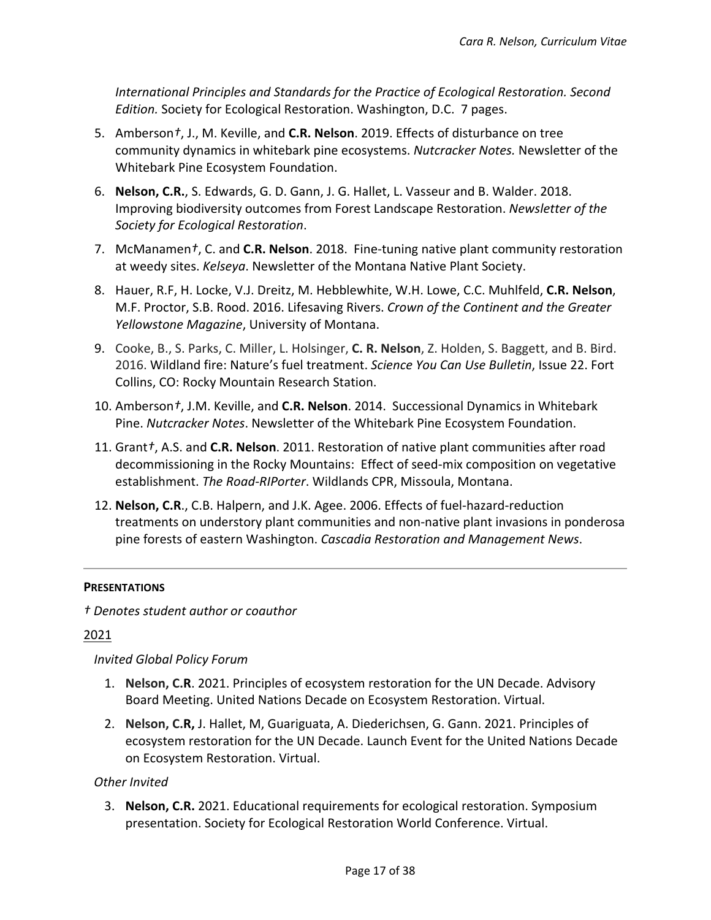*International Principles and Standards for the Practice of Ecological Restoration. Second Edition.* Society for Ecological Restoration. Washington, D.C. 7 pages.

- 5. Amberson*†*, J., M. Keville, and **C.R. Nelson**. 2019. Effects of disturbance on tree community dynamics in whitebark pine ecosystems. *Nutcracker Notes.* Newsletter of the Whitebark Pine Ecosystem Foundation.
- 6. **Nelson, C.R.**, S. Edwards, G. D. Gann, J. G. Hallet, L. Vasseur and B. Walder. 2018. Improving biodiversity outcomes from Forest Landscape Restoration. *Newsletter of the Society for Ecological Restoration*.
- 7. McManamen*†*, C. and **C.R. Nelson**. 2018. Fine-tuning native plant community restoration at weedy sites. *Kelseya*. Newsletter of the Montana Native Plant Society.
- 8. Hauer, R.F, H. Locke, V.J. Dreitz, M. Hebblewhite, W.H. Lowe, C.C. Muhlfeld, **C.R. Nelson**, M.F. Proctor, S.B. Rood. 2016. Lifesaving Rivers. *Crown of the Continent and the Greater Yellowstone Magazine*, University of Montana.
- 9. Cooke, B., S. Parks, C. Miller, L. Holsinger, **C. R. Nelson**, Z. Holden, S. Baggett, and B. Bird. 2016. Wildland fire: Nature's fuel treatment. *Science You Can Use Bulletin*, Issue 22. Fort Collins, CO: Rocky Mountain Research Station.
- 10. Amberson*†*, J.M. Keville, and **C.R. Nelson**. 2014. Successional Dynamics in Whitebark Pine. *Nutcracker Notes*. Newsletter of the Whitebark Pine Ecosystem Foundation.
- 11. Grant*†*, A.S. and **C.R. Nelson**. 2011. Restoration of native plant communities after road decommissioning in the Rocky Mountains: Effect of seed-mix composition on vegetative establishment. *The Road-RIPorter*. Wildlands CPR, Missoula, Montana.
- 12. **Nelson, C.R**., C.B. Halpern, and J.K. Agee. 2006. Effects of fuel-hazard-reduction treatments on understory plant communities and non-native plant invasions in ponderosa pine forests of eastern Washington. *Cascadia Restoration and Management News*.

## **PRESENTATIONS**

*† Denotes student author or coauthor*

# 2021

## *Invited Global Policy Forum*

- 1. **Nelson, C.R**. 2021. Principles of ecosystem restoration for the UN Decade. Advisory Board Meeting. United Nations Decade on Ecosystem Restoration. Virtual.
- 2. **Nelson, C.R,** J. Hallet, M, Guariguata, A. Diederichsen, G. Gann. 2021. Principles of ecosystem restoration for the UN Decade. Launch Event for the United Nations Decade on Ecosystem Restoration. Virtual.

# *Other Invited*

3. **Nelson, C.R.** 2021. Educational requirements for ecological restoration. Symposium presentation. Society for Ecological Restoration World Conference. Virtual.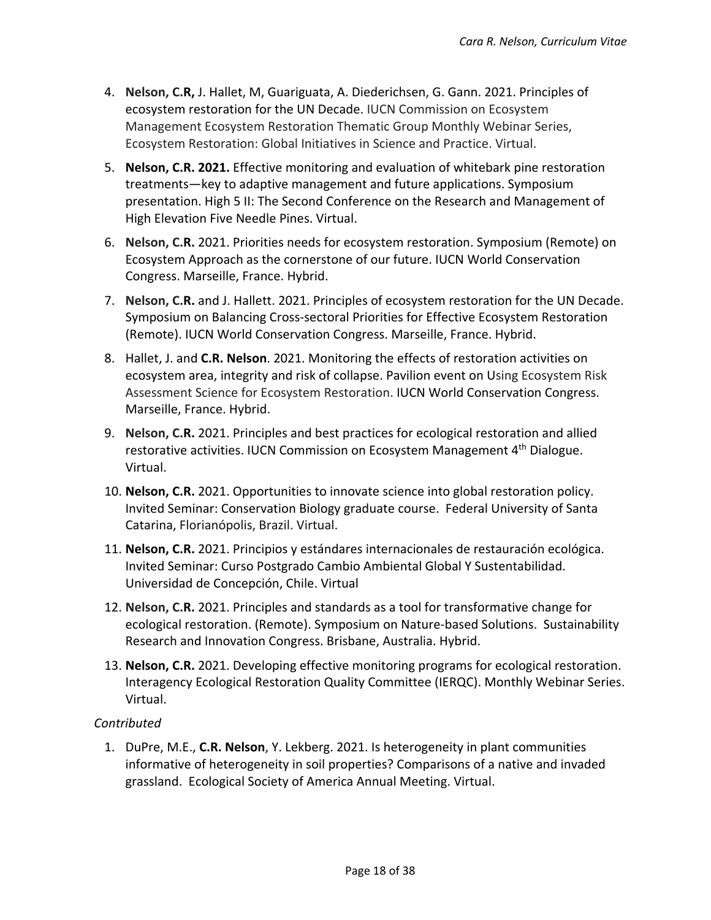- 4. **Nelson, C.R,** J. Hallet, M, Guariguata, A. Diederichsen, G. Gann. 2021. Principles of ecosystem restoration for the UN Decade. IUCN Commission on Ecosystem Management Ecosystem Restoration Thematic Group Monthly Webinar Series, Ecosystem Restoration: Global Initiatives in Science and Practice. Virtual.
- 5. **Nelson, C.R. 2021.** Effective monitoring and evaluation of whitebark pine restoration treatments—key to adaptive management and future applications. Symposium presentation. High 5 II: The Second Conference on the Research and Management of High Elevation Five Needle Pines. Virtual.
- 6. **Nelson, C.R.** 2021. Priorities needs for ecosystem restoration. Symposium (Remote) on Ecosystem Approach as the cornerstone of our future. IUCN World Conservation Congress. Marseille, France. Hybrid.
- 7. **Nelson, C.R.** and J. Hallett. 2021. Principles of ecosystem restoration for the UN Decade. Symposium on Balancing Cross-sectoral Priorities for Effective Ecosystem Restoration (Remote). IUCN World Conservation Congress. Marseille, France. Hybrid.
- 8. Hallet, J. and **C.R. Nelson**. 2021. Monitoring the effects of restoration activities on ecosystem area, integrity and risk of collapse. Pavilion event on Using Ecosystem Risk Assessment Science for Ecosystem Restoration. IUCN World Conservation Congress. Marseille, France. Hybrid.
- 9. **Nelson, C.R.** 2021. Principles and best practices for ecological restoration and allied restorative activities. IUCN Commission on Ecosystem Management 4<sup>th</sup> Dialogue. Virtual.
- 10. **Nelson, C.R.** 2021. Opportunities to innovate science into global restoration policy. Invited Seminar: Conservation Biology graduate course. Federal University of Santa Catarina, Florianópolis, Brazil. Virtual.
- 11. **Nelson, C.R.** 2021. Principios y estándares internacionales de restauración ecológica. Invited Seminar: Curso Postgrado Cambio Ambiental Global Y Sustentabilidad. Universidad de Concepción, Chile. Virtual
- 12. **Nelson, C.R.** 2021. Principles and standards as a tool for transformative change for ecological restoration. (Remote). Symposium on Nature-based Solutions. Sustainability Research and Innovation Congress. Brisbane, Australia. Hybrid.
- 13. **Nelson, C.R.** 2021. Developing effective monitoring programs for ecological restoration. Interagency Ecological Restoration Quality Committee (IERQC). Monthly Webinar Series. Virtual.

# *Contributed*

1. DuPre, M.E., **C.R. Nelson**, Y. Lekberg. 2021. Is heterogeneity in plant communities informative of heterogeneity in soil properties? Comparisons of a native and invaded grassland. Ecological Society of America Annual Meeting. Virtual.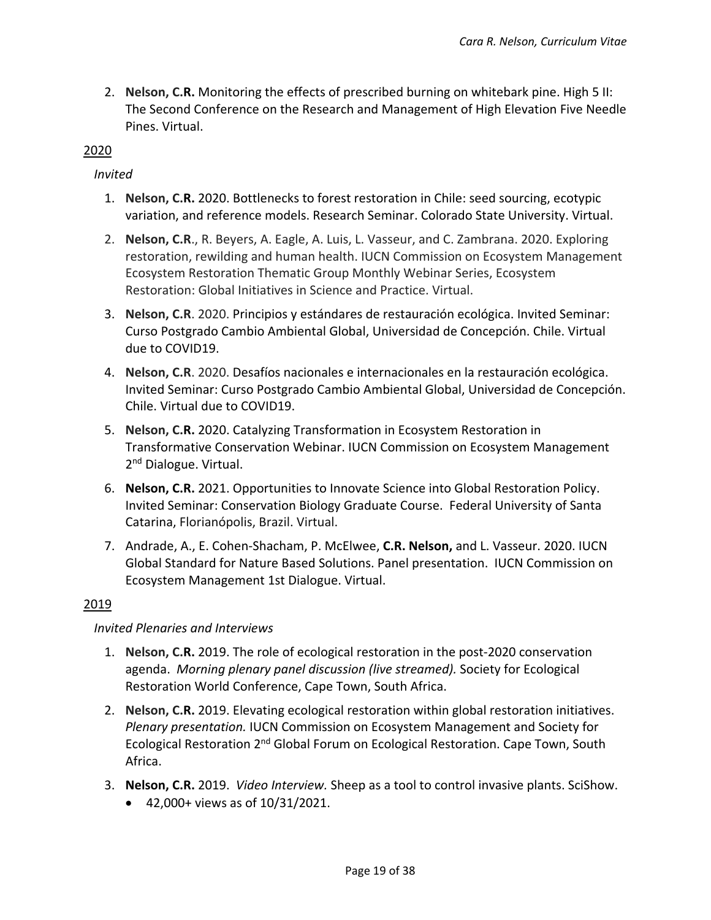2. **Nelson, C.R.** Monitoring the effects of prescribed burning on whitebark pine. High 5 II: The Second Conference on the Research and Management of High Elevation Five Needle Pines. Virtual.

# 2020

# *Invited*

- 1. **Nelson, C.R.** 2020. Bottlenecks to forest restoration in Chile: seed sourcing, ecotypic variation, and reference models. Research Seminar. Colorado State University. Virtual.
- 2. **Nelson, C.R**., R. Beyers, A. Eagle, A. Luis, L. Vasseur, and C. Zambrana. 2020. Exploring restoration, rewilding and human health. IUCN Commission on Ecosystem Management Ecosystem Restoration Thematic Group Monthly Webinar Series, Ecosystem Restoration: Global Initiatives in Science and Practice. Virtual.
- 3. **Nelson, C.R**. 2020. Principios y estándares de restauración ecológica. Invited Seminar: Curso Postgrado Cambio Ambiental Global, Universidad de Concepción. Chile. Virtual due to COVID19.
- 4. **Nelson, C.R**. 2020. Desafíos nacionales e internacionales en la restauración ecológica. Invited Seminar: Curso Postgrado Cambio Ambiental Global, Universidad de Concepción. Chile. Virtual due to COVID19.
- 5. **Nelson, C.R.** 2020. Catalyzing Transformation in Ecosystem Restoration in Transformative Conservation Webinar. IUCN Commission on Ecosystem Management 2<sup>nd</sup> Dialogue. Virtual.
- 6. **Nelson, C.R.** 2021. Opportunities to Innovate Science into Global Restoration Policy. Invited Seminar: Conservation Biology Graduate Course. Federal University of Santa Catarina, Florianópolis, Brazil. Virtual.
- 7. Andrade, A., E. Cohen-Shacham, P. McElwee, **C.R. Nelson,** and L. Vasseur. 2020. IUCN Global Standard for Nature Based Solutions. Panel presentation. IUCN Commission on Ecosystem Management 1st Dialogue. Virtual.

# 2019

# *Invited Plenaries and Interviews*

- 1. **Nelson, C.R.** 2019. The role of ecological restoration in the post-2020 conservation agenda. *Morning plenary panel discussion (live streamed).* Society for Ecological Restoration World Conference, Cape Town, South Africa.
- 2. **Nelson, C.R.** 2019. Elevating ecological restoration within global restoration initiatives. *Plenary presentation.* IUCN Commission on Ecosystem Management and Society for Ecological Restoration 2<sup>nd</sup> Global Forum on Ecological Restoration. Cape Town, South Africa.
- 3. **Nelson, C.R.** 2019. *Video Interview.* Sheep as a tool to control invasive plants. SciShow.
	- 42,000+ views as of 10/31/2021.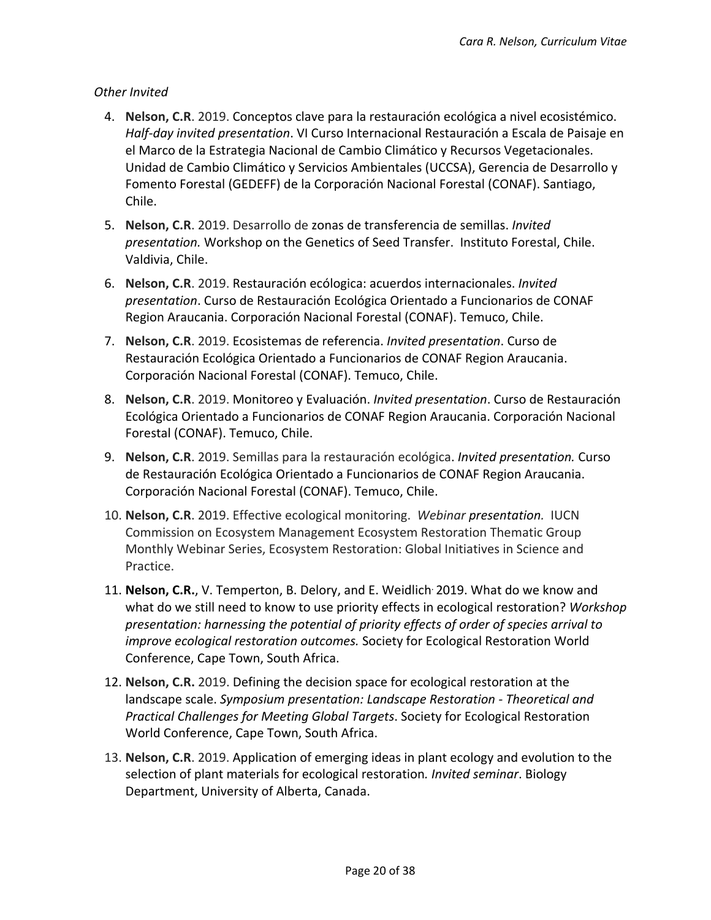- 4. **Nelson, C.R**. 2019. Conceptos clave para la restauración ecológica a nivel ecosistémico. *Half-day invited presentation*. VI Curso Internacional Restauración a Escala de Paisaje en el Marco de la Estrategia Nacional de Cambio Climático y Recursos Vegetacionales. Unidad de Cambio Climático y Servicios Ambientales (UCCSA), Gerencia de Desarrollo y Fomento Forestal (GEDEFF) de la Corporación Nacional Forestal (CONAF). Santiago, Chile.
- 5. **Nelson, C.R**. 2019. Desarrollo de zonas de transferencia de semillas. *Invited presentation.* Workshop on the Genetics of Seed Transfer. Instituto Forestal, Chile. Valdivia, Chile.
- 6. **Nelson, C.R**. 2019. Restauración ecólogica: acuerdos internacionales. *Invited presentation*. Curso de Restauración Ecológica Orientado a Funcionarios de CONAF Region Araucania. Corporación Nacional Forestal (CONAF). Temuco, Chile.
- 7. **Nelson, C.R**. 2019. Ecosistemas de referencia. *Invited presentation*. Curso de Restauración Ecológica Orientado a Funcionarios de CONAF Region Araucania. Corporación Nacional Forestal (CONAF). Temuco, Chile.
- 8. **Nelson, C.R**. 2019. Monitoreo y Evaluación. *Invited presentation*. Curso de Restauración Ecológica Orientado a Funcionarios de CONAF Region Araucania. Corporación Nacional Forestal (CONAF). Temuco, Chile.
- 9. **Nelson, C.R**. 2019. Semillas para la restauración ecológica. *Invited presentation.* Curso de Restauración Ecológica Orientado a Funcionarios de CONAF Region Araucania. Corporación Nacional Forestal (CONAF). Temuco, Chile.
- 10. **Nelson, C.R**. 2019. Effective ecological monitoring. *Webinar presentation.* IUCN Commission on Ecosystem Management Ecosystem Restoration Thematic Group Monthly Webinar Series, Ecosystem Restoration: Global Initiatives in Science and Practice.
- 11. **Nelson, C.R.**, V. Temperton, B. Delory, and E. Weidlich. 2019. What do we know and what do we still need to know to use priority effects in ecological restoration? *Workshop presentation: harnessing the potential of priority effects of order of species arrival to improve ecological restoration outcomes.* Society for Ecological Restoration World Conference, Cape Town, South Africa.
- 12. **Nelson, C.R.** 2019. Defining the decision space for ecological restoration at the landscape scale. *Symposium presentation: Landscape Restoration - Theoretical and Practical Challenges for Meeting Global Targets*. Society for Ecological Restoration World Conference, Cape Town, South Africa.
- 13. **Nelson, C.R**. 2019. Application of emerging ideas in plant ecology and evolution to the selection of plant materials for ecological restoration*. Invited seminar*. Biology Department, University of Alberta, Canada.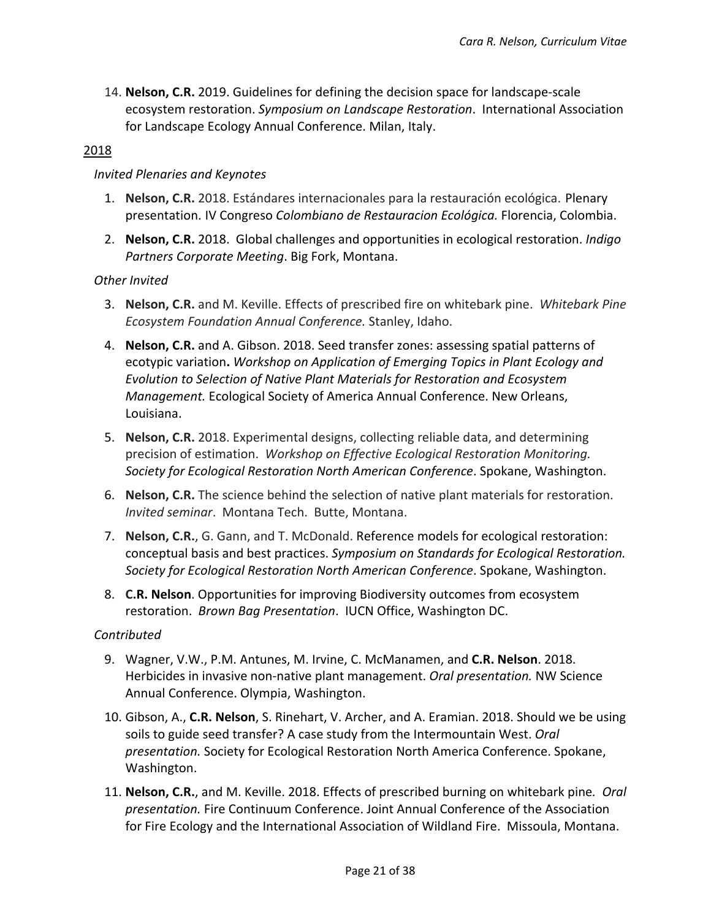14. **Nelson, C.R.** 2019. Guidelines for defining the decision space for landscape-scale ecosystem restoration. *Symposium on Landscape Restoration*. International Association for Landscape Ecology Annual Conference. Milan, Italy.

## 2018

#### *Invited Plenaries and Keynotes*

- 1. **Nelson, C.R.** 2018. Estándares internacionales para la restauración ecológica. Plenary presentation. IV Congreso *Colombiano de Restauracion Ecológica.* Florencia, Colombia.
- 2. **Nelson, C.R.** 2018. Global challenges and opportunities in ecological restoration. *Indigo Partners Corporate Meeting*. Big Fork, Montana.

## *Other Invited*

- 3. **Nelson, C.R.** and M. Keville. Effects of prescribed fire on whitebark pine. *Whitebark Pine Ecosystem Foundation Annual Conference.* Stanley, Idaho.
- 4. **Nelson, C.R.** and A. Gibson. 2018. Seed transfer zones: assessing spatial patterns of ecotypic variation**.** *Workshop on Application of Emerging Topics in Plant Ecology and Evolution to Selection of Native Plant Materials for Restoration and Ecosystem Management.* Ecological Society of America Annual Conference. New Orleans, Louisiana.
- 5. **Nelson, C.R.** 2018. Experimental designs, collecting reliable data, and determining precision of estimation. *Workshop on Effective Ecological Restoration Monitoring. Society for Ecological Restoration North American Conference*. Spokane, Washington.
- 6. **Nelson, C.R.** The science behind the selection of native plant materials for restoration. *Invited seminar*. Montana Tech. Butte, Montana.
- 7. **Nelson, C.R.**, G. Gann, and T. McDonald. Reference models for ecological restoration: conceptual basis and best practices. *Symposium on Standards for Ecological Restoration. Society for Ecological Restoration North American Conference*. Spokane, Washington.
- 8. **C.R. Nelson**. Opportunities for improving Biodiversity outcomes from ecosystem restoration. *Brown Bag Presentation*. IUCN Office, Washington DC.

## *Contributed*

- 9. Wagner, V.W., P.M. Antunes, M. Irvine, C. McManamen, and **C.R. Nelson**. 2018. Herbicides in invasive non-native plant management. *Oral presentation.* NW Science Annual Conference. Olympia, Washington.
- 10. Gibson, A., **C.R. Nelson**, S. Rinehart, V. Archer, and A. Eramian. 2018. Should we be using soils to guide seed transfer? A case study from the Intermountain West. *Oral presentation.* Society for Ecological Restoration North America Conference. Spokane, Washington.
- 11. **Nelson, C.R.**, and M. Keville. 2018. Effects of prescribed burning on whitebark pine*. Oral presentation.* Fire Continuum Conference. Joint Annual Conference of the Association for Fire Ecology and the International Association of Wildland Fire. Missoula, Montana.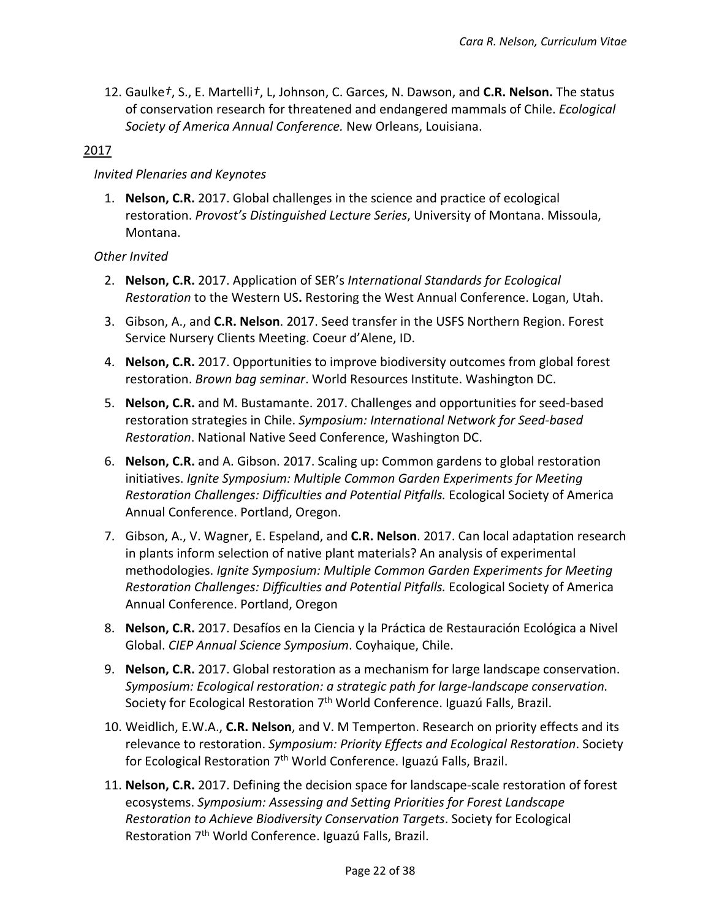12. Gaulke*†*, S., E. Martelli*†*, L, Johnson, C. Garces, N. Dawson, and **C.R. Nelson.** The status of conservation research for threatened and endangered mammals of Chile. *Ecological Society of America Annual Conference.* New Orleans, Louisiana.

## 2017

## *Invited Plenaries and Keynotes*

1. **Nelson, C.R.** 2017. Global challenges in the science and practice of ecological restoration. *Provost's Distinguished Lecture Series*, University of Montana. Missoula, Montana.

- 2. **Nelson, C.R.** 2017. Application of SER's *International Standards for Ecological Restoration* to the Western US**.** Restoring the West Annual Conference. Logan, Utah.
- 3. Gibson, A., and **C.R. Nelson**. 2017. Seed transfer in the USFS Northern Region. Forest Service Nursery Clients Meeting. Coeur d'Alene, ID.
- 4. **Nelson, C.R.** 2017. Opportunities to improve biodiversity outcomes from global forest restoration. *Brown bag seminar*. World Resources Institute. Washington DC.
- 5. **Nelson, C.R.** and M. Bustamante. 2017. Challenges and opportunities for seed-based restoration strategies in Chile. *Symposium: International Network for Seed-based Restoration*. National Native Seed Conference, Washington DC.
- 6. **Nelson, C.R.** and A. Gibson. 2017. Scaling up: Common gardens to global restoration initiatives. *Ignite Symposium: Multiple Common Garden Experiments for Meeting Restoration Challenges: Difficulties and Potential Pitfalls.* Ecological Society of America Annual Conference. Portland, Oregon.
- 7. Gibson, A., V. Wagner, E. Espeland, and **C.R. Nelson**. 2017. Can local adaptation research in plants inform selection of native plant materials? An analysis of experimental methodologies. *Ignite Symposium: Multiple Common Garden Experiments for Meeting Restoration Challenges: Difficulties and Potential Pitfalls.* Ecological Society of America Annual Conference. Portland, Oregon
- 8. **Nelson, C.R.** 2017. Desafíos en la Ciencia y la Práctica de Restauración Ecológica a Nivel Global. *CIEP Annual Science Symposium*. Coyhaique, Chile.
- 9. **Nelson, C.R.** 2017. Global restoration as a mechanism for large landscape conservation. *Symposium: Ecological restoration: a strategic path for large-landscape conservation.* Society for Ecological Restoration  $7<sup>th</sup>$  World Conference. Iguazú Falls, Brazil.
- 10. Weidlich, E.W.A., **C.R. Nelson**, and V. M Temperton. Research on priority effects and its relevance to restoration. *Symposium: Priority Effects and Ecological Restoration*. Society for Ecological Restoration  $7<sup>th</sup>$  World Conference. Iguazú Falls, Brazil.
- 11. **Nelson, C.R.** 2017. Defining the decision space for landscape-scale restoration of forest ecosystems. *Symposium: Assessing and Setting Priorities for Forest Landscape Restoration to Achieve Biodiversity Conservation Targets*. Society for Ecological Restoration 7<sup>th</sup> World Conference. Iguazú Falls, Brazil.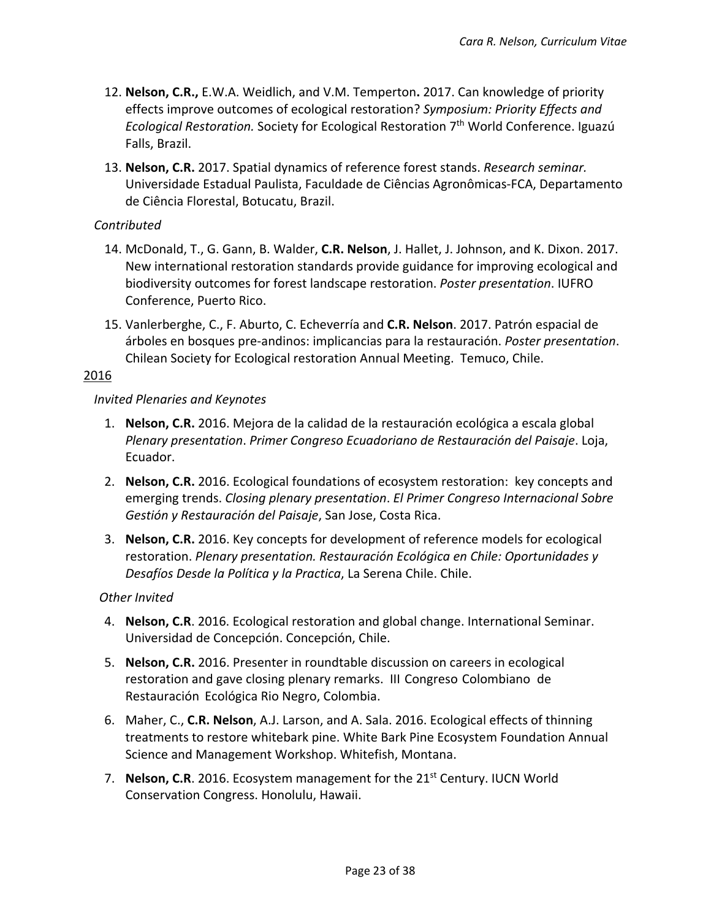- 12. **Nelson, C.R.,** E.W.A. Weidlich, and V.M. Temperton**.** 2017. Can knowledge of priority effects improve outcomes of ecological restoration? *Symposium: Priority Effects and Ecological Restoration.* Society for Ecological Restoration 7th World Conference. Iguazú Falls, Brazil.
- 13. **Nelson, C.R.** 2017. Spatial dynamics of reference forest stands. *Research seminar.* Universidade Estadual Paulista, Faculdade de Ciências Agronômicas-FCA, Departamento de Ciência Florestal, Botucatu, Brazil.

## *Contributed*

- 14. McDonald, T., G. Gann, B. Walder, **C.R. Nelson**, J. Hallet, J. Johnson, and K. Dixon. 2017. New international restoration standards provide guidance for improving ecological and biodiversity outcomes for forest landscape restoration. *Poster presentation*. IUFRO Conference, Puerto Rico.
- 15. Vanlerberghe, C., F. Aburto, C. Echeverría and **C.R. Nelson**. 2017. Patrón espacial de árboles en bosques pre-andinos: implicancias para la restauración. *Poster presentation*. Chilean Society for Ecological restoration Annual Meeting. Temuco, Chile.

#### 2016

#### *Invited Plenaries and Keynotes*

- 1. **Nelson, C.R.** 2016. Mejora de la calidad de la restauración ecológica a escala global *Plenary presentation*. *Primer Congreso Ecuadoriano de Restauración del Paisaje*. Loja, Ecuador.
- 2. **Nelson, C.R.** 2016. Ecological foundations of ecosystem restoration: key concepts and emerging trends. *Closing plenary presentation*. *El Primer Congreso Internacional Sobre Gestión y Restauración del Paisaje*, San Jose, Costa Rica.
- 3. **Nelson, C.R.** 2016. Key concepts for development of reference models for ecological restoration. *Plenary presentation. Restauración Ecológica en Chile: Oportunidades y Desafíos Desde la Política y la Practica*, La Serena Chile. Chile.

- 4. **Nelson, C.R**. 2016. Ecological restoration and global change. International Seminar. Universidad de Concepción. Concepción, Chile.
- 5. **Nelson, C.R.** 2016. Presenter in roundtable discussion on careers in ecological restoration and gave closing plenary remarks. III Congreso Colombiano de Restauración Ecológica Rio Negro, Colombia.
- 6. Maher, C., **C.R. Nelson**, A.J. Larson, and A. Sala. 2016. Ecological effects of thinning treatments to restore whitebark pine. White Bark Pine Ecosystem Foundation Annual Science and Management Workshop. Whitefish, Montana.
- 7. **Nelson, C.R.** 2016. Ecosystem management for the 21<sup>st</sup> Century. IUCN World Conservation Congress. Honolulu, Hawaii.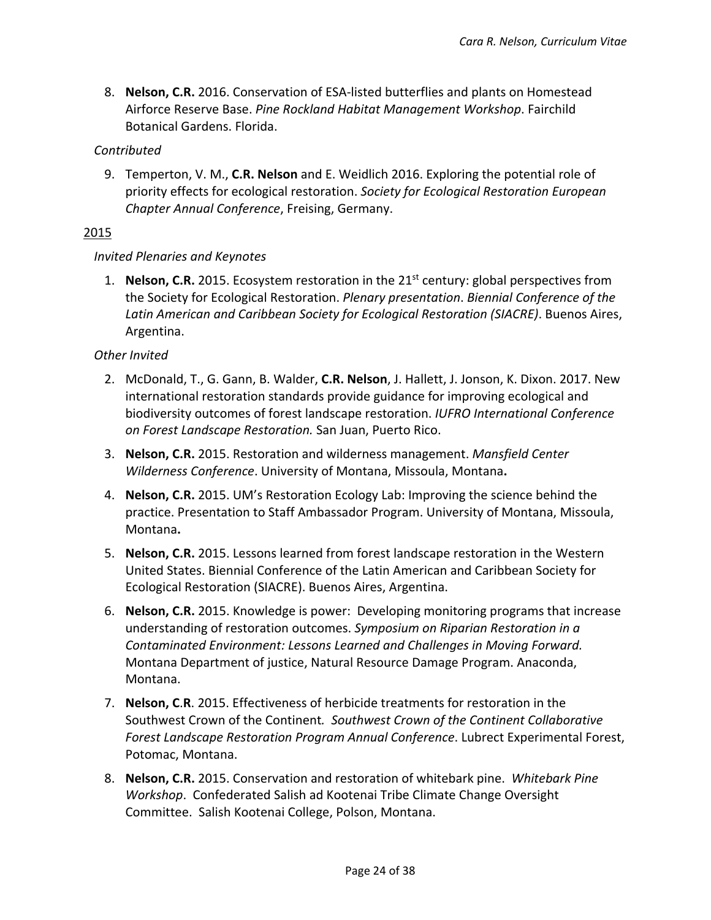8. **Nelson, C.R.** 2016. Conservation of ESA-listed butterflies and plants on Homestead Airforce Reserve Base. *Pine Rockland Habitat Management Workshop*. Fairchild Botanical Gardens. Florida.

## *Contributed*

9. Temperton, V. M., **C.R. Nelson** and E. Weidlich 2016. Exploring the potential role of priority effects for ecological restoration. *Society for Ecological Restoration European Chapter Annual Conference*, Freising, Germany.

## 2015

## *Invited Plenaries and Keynotes*

1. **Nelson, C.R.** 2015. Ecosystem restoration in the 21<sup>st</sup> century: global perspectives from the Society for Ecological Restoration. *Plenary presentation*. *Biennial Conference of the Latin American and Caribbean Society for Ecological Restoration (SIACRE)*. Buenos Aires, Argentina.

- 2. McDonald, T., G. Gann, B. Walder, **C.R. Nelson**, J. Hallett, J. Jonson, K. Dixon. 2017. New international restoration standards provide guidance for improving ecological and biodiversity outcomes of forest landscape restoration. *IUFRO International Conference on Forest Landscape Restoration.* San Juan, Puerto Rico.
- 3. **Nelson, C.R.** 2015. Restoration and wilderness management. *Mansfield Center Wilderness Conference*. University of Montana, Missoula, Montana**.**
- 4. **Nelson, C.R.** 2015. UM's Restoration Ecology Lab: Improving the science behind the practice. Presentation to Staff Ambassador Program. University of Montana, Missoula, Montana**.**
- 5. **Nelson, C.R.** 2015. Lessons learned from forest landscape restoration in the Western United States. Biennial Conference of the Latin American and Caribbean Society for Ecological Restoration (SIACRE). Buenos Aires, Argentina.
- 6. **Nelson, C.R.** 2015. Knowledge is power: Developing monitoring programs that increase understanding of restoration outcomes. *Symposium on Riparian Restoration in a Contaminated Environment: Lessons Learned and Challenges in Moving Forward.* Montana Department of justice, Natural Resource Damage Program. Anaconda, Montana.
- 7. **Nelson, C**.**R**. 2015. Effectiveness of herbicide treatments for restoration in the Southwest Crown of the Continent*. Southwest Crown of the Continent Collaborative Forest Landscape Restoration Program Annual Conference*. Lubrect Experimental Forest, Potomac, Montana.
- 8. **Nelson, C.R.** 2015. Conservation and restoration of whitebark pine. *Whitebark Pine Workshop*. Confederated Salish ad Kootenai Tribe Climate Change Oversight Committee. Salish Kootenai College, Polson, Montana.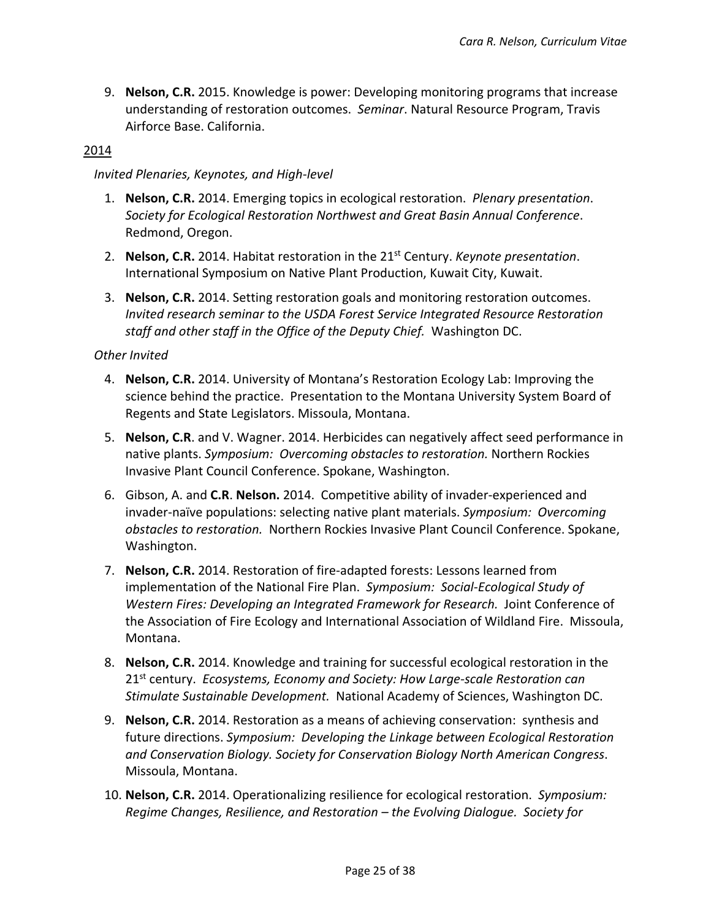9. **Nelson, C.R.** 2015. Knowledge is power: Developing monitoring programs that increase understanding of restoration outcomes. *Seminar*. Natural Resource Program, Travis Airforce Base. California.

## 2014

#### *Invited Plenaries, Keynotes, and High-level*

- 1. **Nelson, C.R.** 2014. Emerging topics in ecological restoration. *Plenary presentation*. *Society for Ecological Restoration Northwest and Great Basin Annual Conference*. Redmond, Oregon.
- 2. **Nelson, C.R.** 2014. Habitat restoration in the 21st Century. *Keynote presentation*. International Symposium on Native Plant Production, Kuwait City, Kuwait.
- 3. **Nelson, C.R.** 2014. Setting restoration goals and monitoring restoration outcomes. *Invited research seminar to the USDA Forest Service Integrated Resource Restoration staff and other staff in the Office of the Deputy Chief.* Washington DC.

- 4. **Nelson, C.R.** 2014. University of Montana's Restoration Ecology Lab: Improving the science behind the practice. Presentation to the Montana University System Board of Regents and State Legislators. Missoula, Montana.
- 5. **Nelson, C.R**. and V. Wagner. 2014. Herbicides can negatively affect seed performance in native plants. *Symposium: Overcoming obstacles to restoration.* Northern Rockies Invasive Plant Council Conference. Spokane, Washington.
- 6. Gibson, A. and **C.R**. **Nelson.** 2014. Competitive ability of invader-experienced and invader-naïve populations: selecting native plant materials. *Symposium: Overcoming obstacles to restoration.* Northern Rockies Invasive Plant Council Conference. Spokane, Washington.
- 7. **Nelson, C.R.** 2014. Restoration of fire-adapted forests: Lessons learned from implementation of the National Fire Plan. *Symposium: Social-Ecological Study of Western Fires: Developing an Integrated Framework for Research.* Joint Conference of the Association of Fire Ecology and International Association of Wildland Fire. Missoula, Montana.
- 8. **Nelson, C.R.** 2014. Knowledge and training for successful ecological restoration in the 21st century. *Ecosystems, Economy and Society: How Large-scale Restoration can Stimulate Sustainable Development.* National Academy of Sciences, Washington DC.
- 9. **Nelson, C.R.** 2014. Restoration as a means of achieving conservation: synthesis and future directions. *Symposium: Developing the Linkage between Ecological Restoration and Conservation Biology. Society for Conservation Biology North American Congress*. Missoula, Montana.
- 10. **Nelson, C.R.** 2014. Operationalizing resilience for ecological restoration. *Symposium: Regime Changes, Resilience, and Restoration – the Evolving Dialogue. Society for*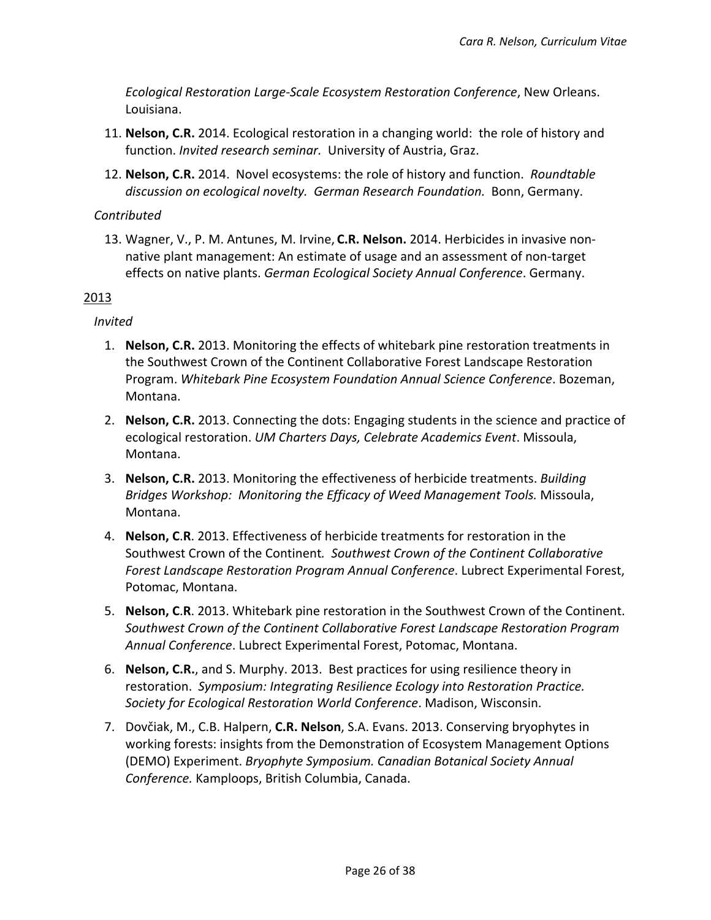*Ecological Restoration Large-Scale Ecosystem Restoration Conference*, New Orleans. Louisiana.

- 11. **Nelson, C.R.** 2014. Ecological restoration in a changing world: the role of history and function. *Invited research seminar.* University of Austria, Graz.
- 12. **Nelson, C.R.** 2014. Novel ecosystems: the role of history and function. *Roundtable discussion on ecological novelty. German Research Foundation.* Bonn, Germany.

## *Contributed*

13. Wagner, V., P. M. Antunes, M. Irvine, **C.R. Nelson.** 2014. Herbicides in invasive nonnative plant management: An estimate of usage and an assessment of non-target effects on native plants. *German Ecological Society Annual Conference*. Germany.

## 2013

## *Invited*

- 1. **Nelson, C.R.** 2013. Monitoring the effects of whitebark pine restoration treatments in the Southwest Crown of the Continent Collaborative Forest Landscape Restoration Program. *Whitebark Pine Ecosystem Foundation Annual Science Conference*. Bozeman, Montana.
- 2. **Nelson, C.R.** 2013. Connecting the dots: Engaging students in the science and practice of ecological restoration. *UM Charters Days, Celebrate Academics Event*. Missoula, Montana.
- 3. **Nelson, C.R.** 2013. Monitoring the effectiveness of herbicide treatments. *Building Bridges Workshop: Monitoring the Efficacy of Weed Management Tools.* Missoula, Montana.
- 4. **Nelson, C**.**R**. 2013. Effectiveness of herbicide treatments for restoration in the Southwest Crown of the Continent*. Southwest Crown of the Continent Collaborative Forest Landscape Restoration Program Annual Conference*. Lubrect Experimental Forest, Potomac, Montana.
- 5. **Nelson, C**.**R**. 2013. Whitebark pine restoration in the Southwest Crown of the Continent. *Southwest Crown of the Continent Collaborative Forest Landscape Restoration Program Annual Conference*. Lubrect Experimental Forest, Potomac, Montana.
- 6. **Nelson, C.R.**, and S. Murphy. 2013. Best practices for using resilience theory in restoration. *Symposium: Integrating Resilience Ecology into Restoration Practice. Society for Ecological Restoration World Conference*. Madison, Wisconsin.
- 7. Dovčiak, M., C.B. Halpern, **C.R. Nelson**, S.A. Evans. 2013. Conserving bryophytes in working forests: insights from the Demonstration of Ecosystem Management Options (DEMO) Experiment. *Bryophyte Symposium. Canadian Botanical Society Annual Conference.* Kamploops, British Columbia, Canada.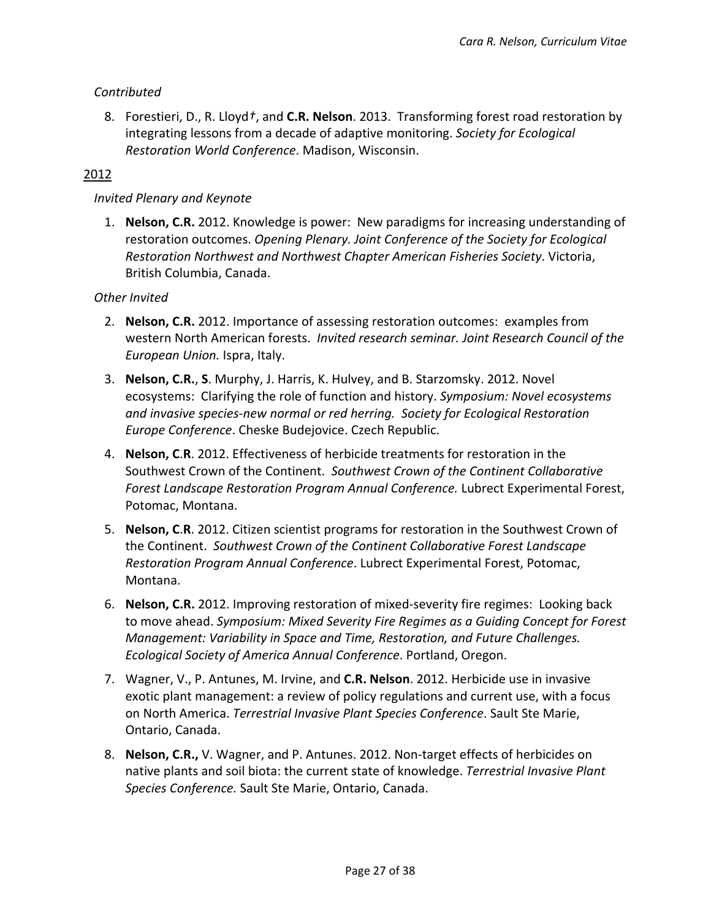## *Contributed*

8. Forestieri, D., R. Lloyd*†*, and **C.R. Nelson**. 2013. Transforming forest road restoration by integrating lessons from a decade of adaptive monitoring. *Society for Ecological Restoration World Conference*. Madison, Wisconsin.

## 2012

#### *Invited Plenary and Keynote*

1. **Nelson, C.R.** 2012. Knowledge is power: New paradigms for increasing understanding of restoration outcomes. *Opening Plenary. Joint Conference of the Society for Ecological Restoration Northwest and Northwest Chapter American Fisheries Society*. Victoria, British Columbia, Canada.

- 2. **Nelson, C.R.** 2012. Importance of assessing restoration outcomes: examples from western North American forests. *Invited research seminar. Joint Research Council of the European Union.* Ispra, Italy.
- 3. **Nelson, C.R.**, **S**. Murphy, J. Harris, K. Hulvey, and B. Starzomsky. 2012. Novel ecosystems: Clarifying the role of function and history. *Symposium: Novel ecosystems and invasive species-new normal or red herring. Society for Ecological Restoration Europe Conference*. Cheske Budejovice. Czech Republic.
- 4. **Nelson, C**.**R**. 2012. Effectiveness of herbicide treatments for restoration in the Southwest Crown of the Continent. *Southwest Crown of the Continent Collaborative Forest Landscape Restoration Program Annual Conference.* Lubrect Experimental Forest, Potomac, Montana.
- 5. **Nelson, C**.**R**. 2012. Citizen scientist programs for restoration in the Southwest Crown of the Continent. *Southwest Crown of the Continent Collaborative Forest Landscape Restoration Program Annual Conference*. Lubrect Experimental Forest, Potomac, Montana.
- 6. **Nelson, C.R.** 2012. Improving restoration of mixed-severity fire regimes: Looking back to move ahead. *Symposium: Mixed Severity Fire Regimes as a Guiding Concept for Forest Management: Variability in Space and Time, Restoration, and Future Challenges. Ecological Society of America Annual Conference*. Portland, Oregon.
- 7. Wagner, V., P. Antunes, M. Irvine, and **C.R. Nelson**. 2012. Herbicide use in invasive exotic plant management: a review of policy regulations and current use, with a focus on North America. *Terrestrial Invasive Plant Species Conference*. Sault Ste Marie, Ontario, Canada.
- 8. **Nelson, C.R.,** V. Wagner, and P. Antunes. 2012. Non-target effects of herbicides on native plants and soil biota: the current state of knowledge. *Terrestrial Invasive Plant Species Conference.* Sault Ste Marie, Ontario, Canada.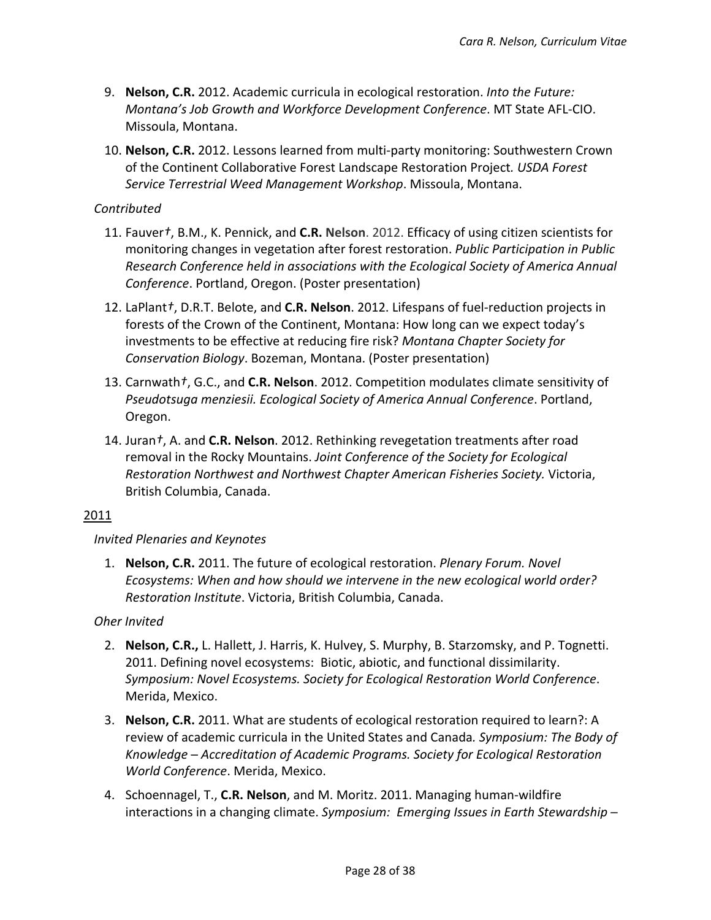- 9. **Nelson, C.R.** 2012. Academic curricula in ecological restoration. *Into the Future: Montana's Job Growth and Workforce Development Conference*. MT State AFL-CIO. Missoula, Montana.
- 10. **Nelson, C.R.** 2012. Lessons learned from multi-party monitoring: Southwestern Crown of the Continent Collaborative Forest Landscape Restoration Project*. USDA Forest Service Terrestrial Weed Management Workshop*. Missoula, Montana.

## *Contributed*

- 11. Fauver*†*, B.M., K. Pennick, and **C.R. Nelson**. 2012. Efficacy of using citizen scientists for monitoring changes in vegetation after forest restoration. *Public Participation in Public Research Conference held in associations with the Ecological Society of America Annual Conference*. Portland, Oregon. (Poster presentation)
- 12. LaPlant*†*, D.R.T. Belote, and **C.R. Nelson**. 2012. Lifespans of fuel-reduction projects in forests of the Crown of the Continent, Montana: How long can we expect today's investments to be effective at reducing fire risk? *Montana Chapter Society for Conservation Biology*. Bozeman, Montana. (Poster presentation)
- 13. Carnwath*†*, G.C., and **C.R. Nelson**. 2012. Competition modulates climate sensitivity of *Pseudotsuga menziesii. Ecological Society of America Annual Conference*. Portland, Oregon.
- 14. Juran*†*, A. and **C.R. Nelson**. 2012. Rethinking revegetation treatments after road removal in the Rocky Mountains. *Joint Conference of the Society for Ecological Restoration Northwest and Northwest Chapter American Fisheries Society.* Victoria, British Columbia, Canada.

## 2011

## *Invited Plenaries and Keynotes*

1. **Nelson, C.R.** 2011. The future of ecological restoration. *Plenary Forum. Novel Ecosystems: When and how should we intervene in the new ecological world order? Restoration Institute*. Victoria, British Columbia, Canada.

- 2. **Nelson, C.R.,** L. Hallett, J. Harris, K. Hulvey, S. Murphy, B. Starzomsky, and P. Tognetti. 2011. Defining novel ecosystems: Biotic, abiotic, and functional dissimilarity. *Symposium: Novel Ecosystems. Society for Ecological Restoration World Conference*. Merida, Mexico.
- 3. **Nelson, C.R.** 2011. What are students of ecological restoration required to learn?: A review of academic curricula in the United States and Canada*. Symposium: The Body of Knowledge ─ Accreditation of Academic Programs. Society for Ecological Restoration World Conference*. Merida, Mexico.
- 4. Schoennagel, T., **C.R. Nelson**, and M. Moritz. 2011. Managing human-wildfire interactions in a changing climate. *Symposium: Emerging Issues in Earth Stewardship ─*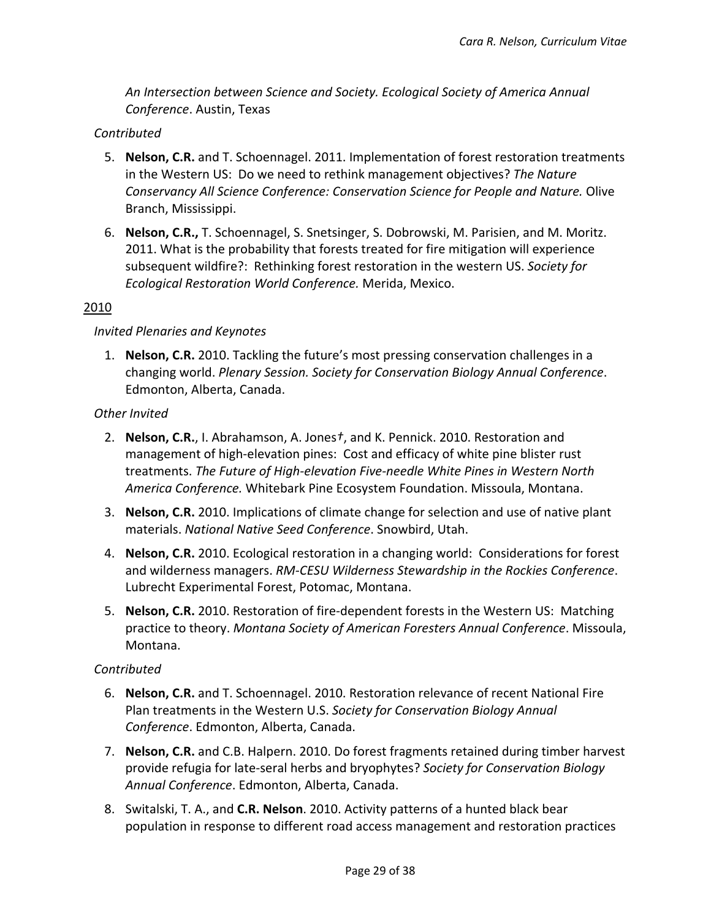*An Intersection between Science and Society. Ecological Society of America Annual Conference*. Austin, Texas

## *Contributed*

- 5. **Nelson, C.R.** and T. Schoennagel. 2011. Implementation of forest restoration treatments in the Western US: Do we need to rethink management objectives? *The Nature Conservancy All Science Conference: Conservation Science for People and Nature.* Olive Branch, Mississippi.
- 6. **Nelson, C.R.,** T. Schoennagel, S. Snetsinger, S. Dobrowski, M. Parisien, and M. Moritz. 2011. What is the probability that forests treated for fire mitigation will experience subsequent wildfire?: Rethinking forest restoration in the western US. *Society for Ecological Restoration World Conference.* Merida, Mexico.

## 2010

#### *Invited Plenaries and Keynotes*

1. **Nelson, C.R.** 2010. Tackling the future's most pressing conservation challenges in a changing world. *Plenary Session. Society for Conservation Biology Annual Conference*. Edmonton, Alberta, Canada.

## *Other Invited*

- 2. **Nelson, C.R.**, I. Abrahamson, A. Jones*†*, and K. Pennick. 2010. Restoration and management of high-elevation pines: Cost and efficacy of white pine blister rust treatments. *The Future of High-elevation Five-needle White Pines in Western North America Conference.* Whitebark Pine Ecosystem Foundation. Missoula, Montana.
- 3. **Nelson, C.R.** 2010. Implications of climate change for selection and use of native plant materials. *National Native Seed Conference*. Snowbird, Utah.
- 4. **Nelson, C.R.** 2010. Ecological restoration in a changing world: Considerations for forest and wilderness managers. *RM-CESU Wilderness Stewardship in the Rockies Conference*. Lubrecht Experimental Forest, Potomac, Montana.
- 5. **Nelson, C.R.** 2010. Restoration of fire-dependent forests in the Western US: Matching practice to theory. *Montana Society of American Foresters Annual Conference*. Missoula, Montana.

## *Contributed*

- 6. **Nelson, C.R.** and T. Schoennagel. 2010. Restoration relevance of recent National Fire Plan treatments in the Western U.S. *Society for Conservation Biology Annual Conference*. Edmonton, Alberta, Canada.
- 7. **Nelson, C.R.** and C.B. Halpern. 2010. Do forest fragments retained during timber harvest provide refugia for late-seral herbs and bryophytes? *Society for Conservation Biology Annual Conference*. Edmonton, Alberta, Canada.
- 8. Switalski, T. A., and **C.R. Nelson**. 2010. Activity patterns of a hunted black bear population in response to different road access management and restoration practices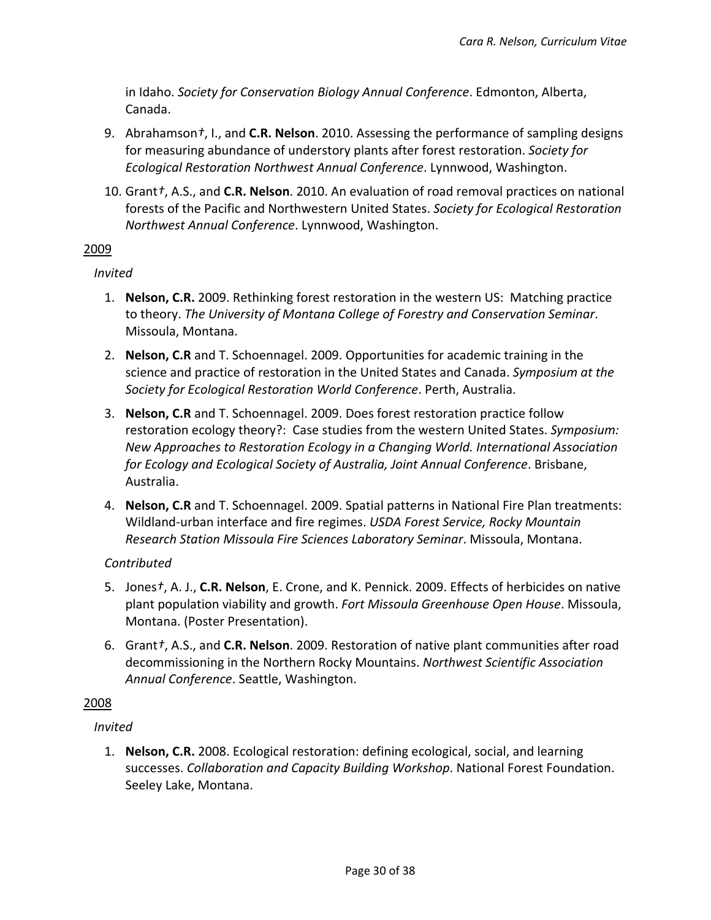in Idaho. *Society for Conservation Biology Annual Conference*. Edmonton, Alberta, Canada.

- 9. Abrahamson*†*, I., and **C.R. Nelson**. 2010. Assessing the performance of sampling designs for measuring abundance of understory plants after forest restoration. *Society for Ecological Restoration Northwest Annual Conference*. Lynnwood, Washington.
- 10. Grant*†*, A.S., and **C.R. Nelson**. 2010. An evaluation of road removal practices on national forests of the Pacific and Northwestern United States. *Society for Ecological Restoration Northwest Annual Conference*. Lynnwood, Washington.

# 2009

## *Invited*

- 1. **Nelson, C.R.** 2009. Rethinking forest restoration in the western US: Matching practice to theory. *The University of Montana College of Forestry and Conservation Seminar*. Missoula, Montana.
- 2. **Nelson, C.R** and T. Schoennagel. 2009. Opportunities for academic training in the science and practice of restoration in the United States and Canada. *Symposium at the Society for Ecological Restoration World Conference*. Perth, Australia.
- 3. **Nelson, C.R** and T. Schoennagel. 2009. Does forest restoration practice follow restoration ecology theory?: Case studies from the western United States. *Symposium: New Approaches to Restoration Ecology in a Changing World. International Association for Ecology and Ecological Society of Australia, Joint Annual Conference*. Brisbane, Australia.
- 4. **Nelson, C.R** and T. Schoennagel. 2009. Spatial patterns in National Fire Plan treatments: Wildland-urban interface and fire regimes. *USDA Forest Service, Rocky Mountain Research Station Missoula Fire Sciences Laboratory Seminar*. Missoula, Montana.

# *Contributed*

- 5. Jones*†*, A. J., **C.R. Nelson**, E. Crone, and K. Pennick. 2009. Effects of herbicides on native plant population viability and growth. *Fort Missoula Greenhouse Open House*. Missoula, Montana. (Poster Presentation).
- 6. Grant*†*, A.S., and **C.R. Nelson**. 2009. Restoration of native plant communities after road decommissioning in the Northern Rocky Mountains. *Northwest Scientific Association Annual Conference*. Seattle, Washington.

## 2008

# *Invited*

1. **Nelson, C.R.** 2008. Ecological restoration: defining ecological, social, and learning successes. *Collaboration and Capacity Building Workshop*. National Forest Foundation. Seeley Lake, Montana.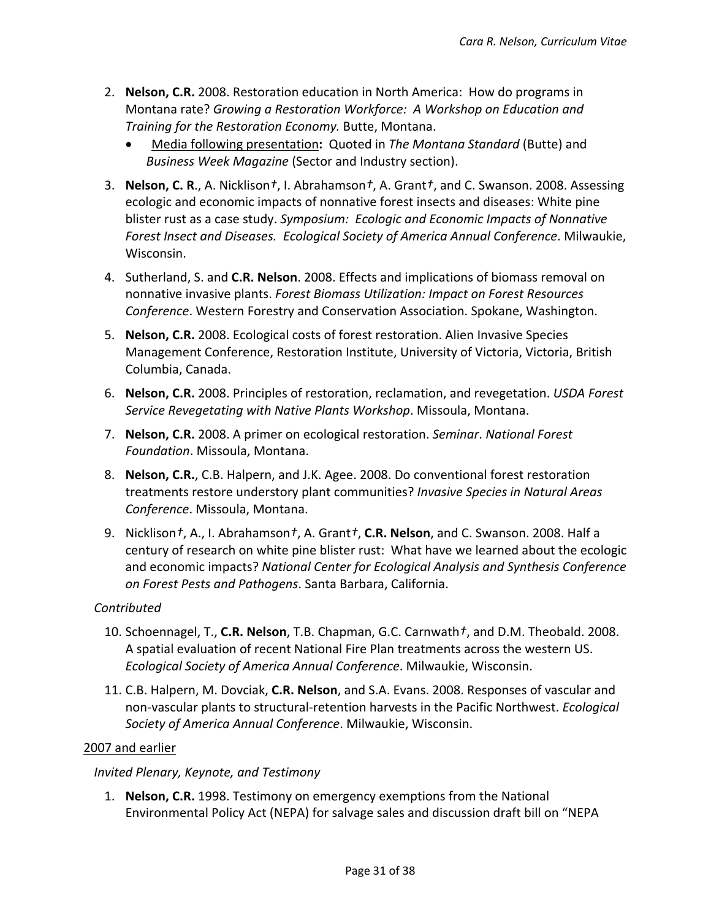- 2. **Nelson, C.R.** 2008. Restoration education in North America: How do programs in Montana rate? *Growing a Restoration Workforce: A Workshop on Education and Training for the Restoration Economy.* Butte, Montana.
	- Media following presentation**:** Quoted in *The Montana Standard* (Butte) and *Business Week Magazine* (Sector and Industry section).
- 3. **Nelson, C. R**., A. Nicklison*†*, I. Abrahamson*†*, A. Grant*†*, and C. Swanson. 2008. Assessing ecologic and economic impacts of nonnative forest insects and diseases: White pine blister rust as a case study. *Symposium: Ecologic and Economic Impacts of Nonnative Forest Insect and Diseases. Ecological Society of America Annual Conference*. Milwaukie, Wisconsin.
- 4. Sutherland, S. and **C.R. Nelson**. 2008. Effects and implications of biomass removal on nonnative invasive plants. *Forest Biomass Utilization: Impact on Forest Resources Conference*. Western Forestry and Conservation Association. Spokane, Washington.
- 5. **Nelson, C.R.** 2008. Ecological costs of forest restoration. Alien Invasive Species Management Conference, Restoration Institute, University of Victoria, Victoria, British Columbia, Canada.
- 6. **Nelson, C.R.** 2008. Principles of restoration, reclamation, and revegetation. *USDA Forest Service Revegetating with Native Plants Workshop*. Missoula, Montana.
- 7. **Nelson, C.R.** 2008. A primer on ecological restoration. *Seminar*. *National Forest Foundation*. Missoula, Montana.
- 8. **Nelson, C.R.**, C.B. Halpern, and J.K. Agee. 2008. Do conventional forest restoration treatments restore understory plant communities? *Invasive Species in Natural Areas Conference*. Missoula, Montana.
- 9. Nicklison*†*, A., I. Abrahamson*†*, A. Grant*†*, **C.R. Nelson**, and C. Swanson. 2008. Half a century of research on white pine blister rust: What have we learned about the ecologic and economic impacts? *National Center for Ecological Analysis and Synthesis Conference on Forest Pests and Pathogens*. Santa Barbara, California.

# *Contributed*

- 10. Schoennagel, T., **C.R. Nelson**, T.B. Chapman, G.C. Carnwath*†*, and D.M. Theobald. 2008. A spatial evaluation of recent National Fire Plan treatments across the western US. *Ecological Society of America Annual Conference*. Milwaukie, Wisconsin.
- 11. C.B. Halpern, M. Dovciak, **C.R. Nelson**, and S.A. Evans. 2008. Responses of vascular and non-vascular plants to structural-retention harvests in the Pacific Northwest. *Ecological Society of America Annual Conference*. Milwaukie, Wisconsin.

## 2007 and earlier

*Invited Plenary, Keynote, and Testimony*

1. **Nelson, C.R.** 1998. Testimony on emergency exemptions from the National Environmental Policy Act (NEPA) for salvage sales and discussion draft bill on "NEPA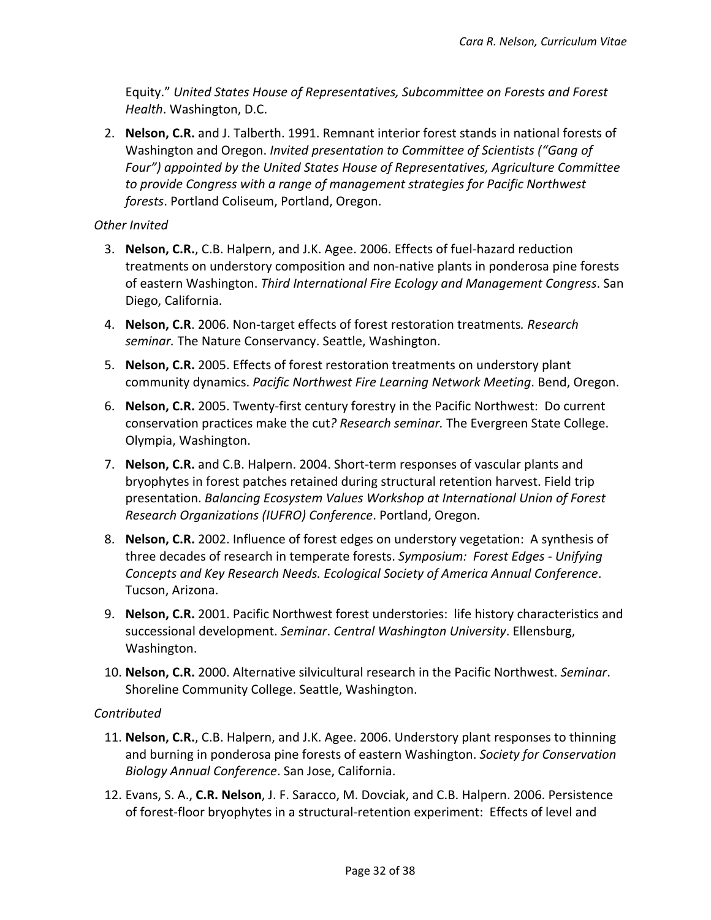Equity." *United States House of Representatives, Subcommittee on Forests and Forest Health*. Washington, D.C.

2. **Nelson, C.R.** and J. Talberth. 1991. Remnant interior forest stands in national forests of Washington and Oregon. *Invited presentation to Committee of Scientists ("Gang of Four") appointed by the United States House of Representatives, Agriculture Committee to provide Congress with a range of management strategies for Pacific Northwest forests*. Portland Coliseum, Portland, Oregon.

## *Other Invited*

- 3. **Nelson, C.R.**, C.B. Halpern, and J.K. Agee. 2006. Effects of fuel-hazard reduction treatments on understory composition and non-native plants in ponderosa pine forests of eastern Washington. *Third International Fire Ecology and Management Congress*. San Diego, California.
- 4. **Nelson, C.R**. 2006. Non-target effects of forest restoration treatments*. Research seminar.* The Nature Conservancy. Seattle, Washington.
- 5. **Nelson, C.R.** 2005. Effects of forest restoration treatments on understory plant community dynamics. *Pacific Northwest Fire Learning Network Meeting*. Bend, Oregon.
- 6. **Nelson, C.R.** 2005. Twenty-first century forestry in the Pacific Northwest: Do current conservation practices make the cut*? Research seminar.* The Evergreen State College. Olympia, Washington.
- 7. **Nelson, C.R.** and C.B. Halpern. 2004. Short-term responses of vascular plants and bryophytes in forest patches retained during structural retention harvest. Field trip presentation. *Balancing Ecosystem Values Workshop at International Union of Forest Research Organizations (IUFRO) Conference*. Portland, Oregon.
- 8. **Nelson, C.R.** 2002. Influence of forest edges on understory vegetation: A synthesis of three decades of research in temperate forests. *Symposium: Forest Edges - Unifying Concepts and Key Research Needs. Ecological Society of America Annual Conference*. Tucson, Arizona.
- 9. **Nelson, C.R.** 2001. Pacific Northwest forest understories: life history characteristics and successional development. *Seminar*. *Central Washington University*. Ellensburg, Washington.
- 10. **Nelson, C.R.** 2000. Alternative silvicultural research in the Pacific Northwest. *Seminar*. Shoreline Community College. Seattle, Washington.

## *Contributed*

- 11. **Nelson, C.R.**, C.B. Halpern, and J.K. Agee. 2006. Understory plant responses to thinning and burning in ponderosa pine forests of eastern Washington. *Society for Conservation Biology Annual Conference*. San Jose, California.
- 12. Evans, S. A., **C.R. Nelson**, J. F. Saracco, M. Dovciak, and C.B. Halpern. 2006. Persistence of forest-floor bryophytes in a structural-retention experiment: Effects of level and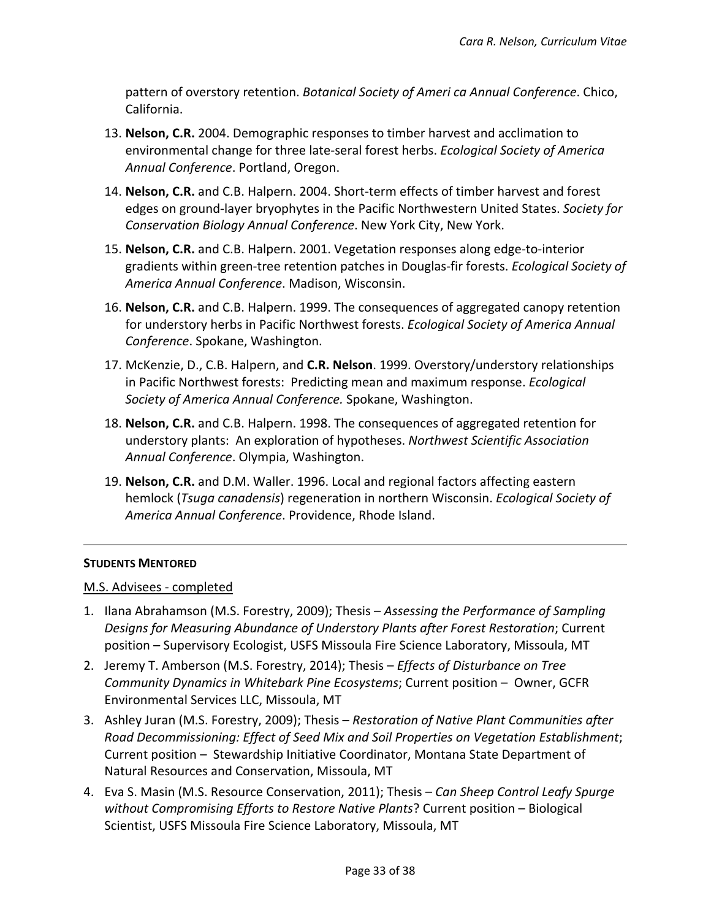pattern of overstory retention. *Botanical Society of Ameri ca Annual Conference*. Chico, California.

- 13. **Nelson, C.R.** 2004. Demographic responses to timber harvest and acclimation to environmental change for three late-seral forest herbs. *Ecological Society of America Annual Conference*. Portland, Oregon.
- 14. **Nelson, C.R.** and C.B. Halpern. 2004. Short-term effects of timber harvest and forest edges on ground-layer bryophytes in the Pacific Northwestern United States. *Society for Conservation Biology Annual Conference*. New York City, New York.
- 15. **Nelson, C.R.** and C.B. Halpern. 2001. Vegetation responses along edge-to-interior gradients within green-tree retention patches in Douglas-fir forests. *Ecological Society of America Annual Conference*. Madison, Wisconsin.
- 16. **Nelson, C.R.** and C.B. Halpern. 1999. The consequences of aggregated canopy retention for understory herbs in Pacific Northwest forests. *Ecological Society of America Annual Conference*. Spokane, Washington.
- 17. McKenzie, D., C.B. Halpern, and **C.R. Nelson**. 1999. Overstory/understory relationships in Pacific Northwest forests: Predicting mean and maximum response. *Ecological Society of America Annual Conference.* Spokane, Washington.
- 18. **Nelson, C.R.** and C.B. Halpern. 1998. The consequences of aggregated retention for understory plants: An exploration of hypotheses. *Northwest Scientific Association Annual Conference*. Olympia, Washington.
- 19. **Nelson, C.R.** and D.M. Waller. 1996. Local and regional factors affecting eastern hemlock (*Tsuga canadensis*) regeneration in northern Wisconsin. *Ecological Society of America Annual Conference*. Providence, Rhode Island.

## **STUDENTS MENTORED**

## M.S. Advisees - completed

- 1. Ilana Abrahamson (M.S. Forestry, 2009); Thesis *Assessing the Performance of Sampling Designs for Measuring Abundance of Understory Plants after Forest Restoration*; Current position – Supervisory Ecologist, USFS Missoula Fire Science Laboratory, Missoula, MT
- 2. Jeremy T. Amberson (M.S. Forestry, 2014); Thesis *Effects of Disturbance on Tree Community Dynamics in Whitebark Pine Ecosystems*; Current position – Owner, GCFR Environmental Services LLC, Missoula, MT
- 3. Ashley Juran (M.S. Forestry, 2009); Thesis *Restoration of Native Plant Communities after Road Decommissioning: Effect of Seed Mix and Soil Properties on Vegetation Establishment*; Current position – Stewardship Initiative Coordinator, Montana State Department of Natural Resources and Conservation, Missoula, MT
- 4. Eva S. Masin (M.S. Resource Conservation, 2011); Thesis *Can Sheep Control Leafy Spurge without Compromising Efforts to Restore Native Plants*? Current position – Biological Scientist, USFS Missoula Fire Science Laboratory, Missoula, MT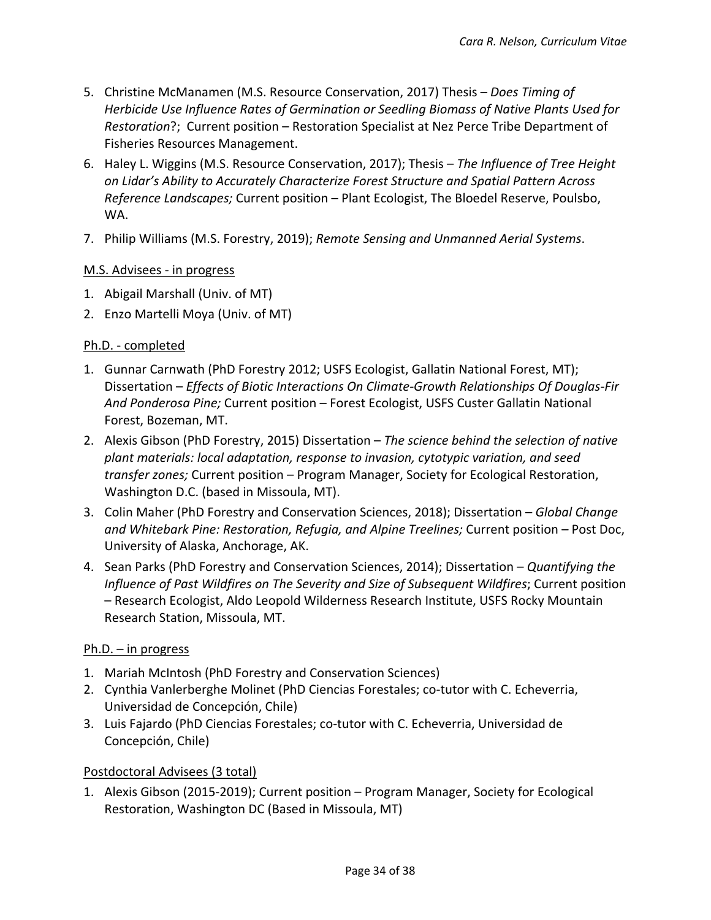- 5. Christine McManamen (M.S. Resource Conservation, 2017) Thesis *Does Timing of Herbicide Use Influence Rates of Germination or Seedling Biomass of Native Plants Used for Restoration*?; Current position – Restoration Specialist at Nez Perce Tribe Department of Fisheries Resources Management.
- 6. Haley L. Wiggins (M.S. Resource Conservation, 2017); Thesis *The Influence of Tree Height on Lidar's Ability to Accurately Characterize Forest Structure and Spatial Pattern Across Reference Landscapes;* Current position – Plant Ecologist, The Bloedel Reserve, Poulsbo, WA.
- 7. Philip Williams (M.S. Forestry, 2019); *Remote Sensing and Unmanned Aerial Systems*.

## M.S. Advisees - in progress

- 1. Abigail Marshall (Univ. of MT)
- 2. Enzo Martelli Moya (Univ. of MT)

## Ph.D. - completed

- 1. Gunnar Carnwath (PhD Forestry 2012; USFS Ecologist, Gallatin National Forest, MT); Dissertation – *Effects of Biotic Interactions On Climate-Growth Relationships Of Douglas-Fir And Ponderosa Pine;* Current position – Forest Ecologist, USFS Custer Gallatin National Forest, Bozeman, MT.
- 2. Alexis Gibson (PhD Forestry, 2015) Dissertation *The science behind the selection of native plant materials: local adaptation, response to invasion, cytotypic variation, and seed transfer zones;* Current position – Program Manager, Society for Ecological Restoration, Washington D.C. (based in Missoula, MT).
- 3. Colin Maher (PhD Forestry and Conservation Sciences, 2018); Dissertation *Global Change and Whitebark Pine: Restoration, Refugia, and Alpine Treelines;* Current position – Post Doc, University of Alaska, Anchorage, AK.
- 4. Sean Parks (PhD Forestry and Conservation Sciences, 2014); Dissertation *Quantifying the Influence of Past Wildfires on The Severity and Size of Subsequent Wildfires*; Current position – Research Ecologist, Aldo Leopold Wilderness Research Institute, USFS Rocky Mountain Research Station, Missoula, MT.

## Ph.D. – in progress

- 1. Mariah McIntosh (PhD Forestry and Conservation Sciences)
- 2. Cynthia Vanlerberghe Molinet (PhD Ciencias Forestales; co-tutor with C. Echeverria, Universidad de Concepción, Chile)
- 3. Luis Fajardo (PhD Ciencias Forestales; co-tutor with C. Echeverria, Universidad de Concepción, Chile)

## Postdoctoral Advisees (3 total)

1. Alexis Gibson (2015-2019); Current position – Program Manager, Society for Ecological Restoration, Washington DC (Based in Missoula, MT)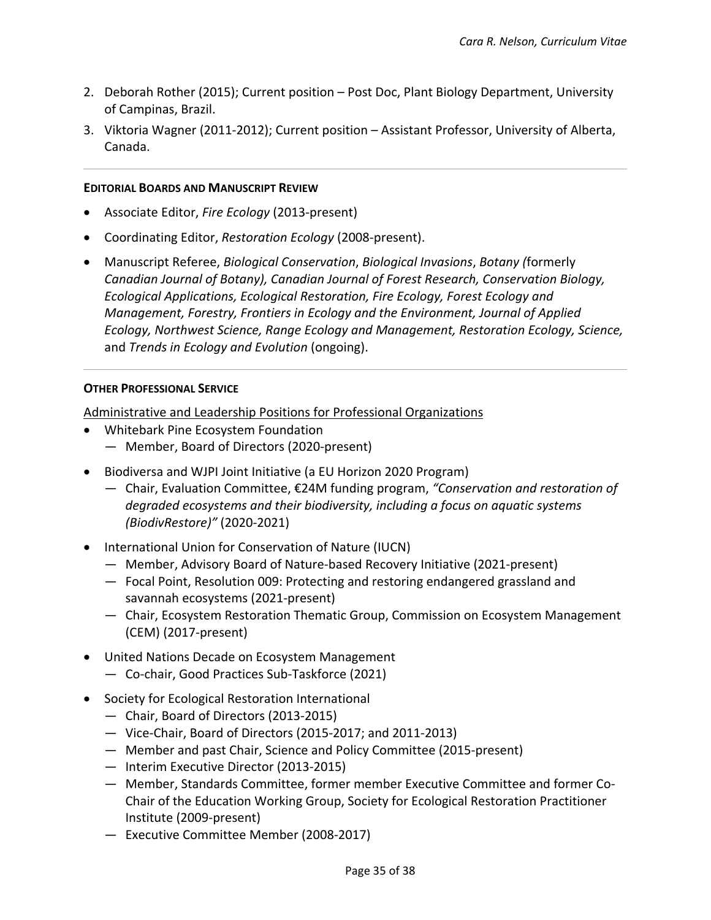- 2. Deborah Rother (2015); Current position Post Doc, Plant Biology Department, University of Campinas, Brazil.
- 3. Viktoria Wagner (2011-2012); Current position Assistant Professor, University of Alberta, Canada.

#### **EDITORIAL BOARDS AND MANUSCRIPT REVIEW**

- Associate Editor, *Fire Ecology* (2013-present)
- Coordinating Editor, *Restoration Ecology* (2008-present).
- Manuscript Referee, *Biological Conservation*, *Biological Invasions*, *Botany (*formerly *Canadian Journal of Botany), Canadian Journal of Forest Research, Conservation Biology, Ecological Applications, Ecological Restoration, Fire Ecology, Forest Ecology and Management, Forestry, Frontiers in Ecology and the Environment, Journal of Applied Ecology, Northwest Science, Range Ecology and Management, Restoration Ecology, Science,*  and *Trends in Ecology and Evolution* (ongoing).

#### **OTHER PROFESSIONAL SERVICE**

Administrative and Leadership Positions for Professional Organizations

- Whitebark Pine Ecosystem Foundation
	- Member, Board of Directors (2020-present)
- Biodiversa and WJPI Joint Initiative (a EU Horizon 2020 Program)
	- Chair, Evaluation Committee, €24M funding program, *"Conservation and restoration of degraded ecosystems and their biodiversity, including a focus on aquatic systems (BiodivRestore)"* (2020-2021)
- International Union for Conservation of Nature (IUCN)
	- Member, Advisory Board of Nature-based Recovery Initiative (2021-present)
	- Focal Point, Resolution 009: Protecting and restoring endangered grassland and savannah ecosystems (2021-present)
	- Chair, Ecosystem Restoration Thematic Group, Commission on Ecosystem Management (CEM) (2017-present)
- United Nations Decade on Ecosystem Management
	- Co-chair, Good Practices Sub-Taskforce (2021)
- Society for Ecological Restoration International
	- Chair, Board of Directors (2013-2015)
	- Vice-Chair, Board of Directors (2015-2017; and 2011-2013)
	- Member and past Chair, Science and Policy Committee (2015-present)
	- Interim Executive Director (2013-2015)
	- Member, Standards Committee, former member Executive Committee and former Co-Chair of the Education Working Group, Society for Ecological Restoration Practitioner Institute (2009-present)
	- Executive Committee Member (2008-2017)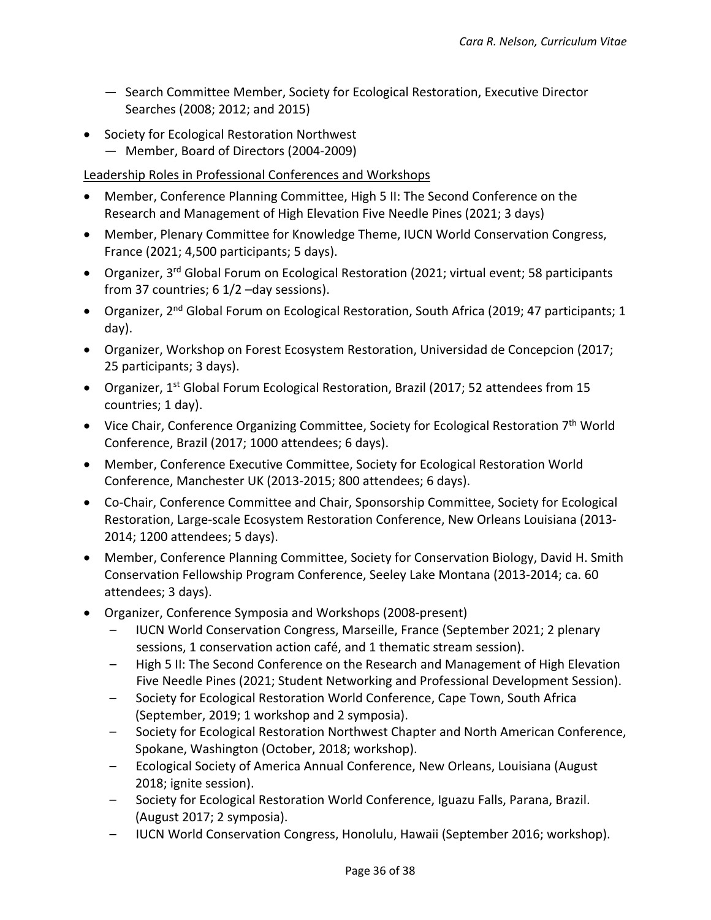- Search Committee Member, Society for Ecological Restoration, Executive Director Searches (2008; 2012; and 2015)
- Society for Ecological Restoration Northwest — Member, Board of Directors (2004-2009)

# Leadership Roles in Professional Conferences and Workshops

- Member, Conference Planning Committee, High 5 II: The Second Conference on the Research and Management of High Elevation Five Needle Pines (2021; 3 days)
- Member, Plenary Committee for Knowledge Theme, IUCN World Conservation Congress, France (2021; 4,500 participants; 5 days).
- Organizer, 3<sup>rd</sup> Global Forum on Ecological Restoration (2021; virtual event; 58 participants from 37 countries; 6 1/2 –day sessions).
- Organizer, 2<sup>nd</sup> Global Forum on Ecological Restoration, South Africa (2019; 47 participants; 1 day).
- Organizer, Workshop on Forest Ecosystem Restoration, Universidad de Concepcion (2017; 25 participants; 3 days).
- Organizer, 1<sup>st</sup> Global Forum Ecological Restoration, Brazil (2017; 52 attendees from 15 countries; 1 day).
- Vice Chair, Conference Organizing Committee, Society for Ecological Restoration 7<sup>th</sup> World Conference, Brazil (2017; 1000 attendees; 6 days).
- Member, Conference Executive Committee, Society for Ecological Restoration World Conference, Manchester UK (2013-2015; 800 attendees; 6 days).
- Co-Chair, Conference Committee and Chair, Sponsorship Committee, Society for Ecological Restoration, Large-scale Ecosystem Restoration Conference, New Orleans Louisiana (2013- 2014; 1200 attendees; 5 days).
- Member, Conference Planning Committee, Society for Conservation Biology, David H. Smith Conservation Fellowship Program Conference, Seeley Lake Montana (2013-2014; ca. 60 attendees; 3 days).
- Organizer, Conference Symposia and Workshops (2008-present)
	- IUCN World Conservation Congress, Marseille, France (September 2021; 2 plenary sessions, 1 conservation action café, and 1 thematic stream session).
	- High 5 II: The Second Conference on the Research and Management of High Elevation Five Needle Pines (2021; Student Networking and Professional Development Session).
	- Society for Ecological Restoration World Conference, Cape Town, South Africa (September, 2019; 1 workshop and 2 symposia).
	- Society for Ecological Restoration Northwest Chapter and North American Conference, Spokane, Washington (October, 2018; workshop).
	- Ecological Society of America Annual Conference, New Orleans, Louisiana (August 2018; ignite session).
	- Society for Ecological Restoration World Conference, Iguazu Falls, Parana, Brazil. (August 2017; 2 symposia).
	- IUCN World Conservation Congress, Honolulu, Hawaii (September 2016; workshop).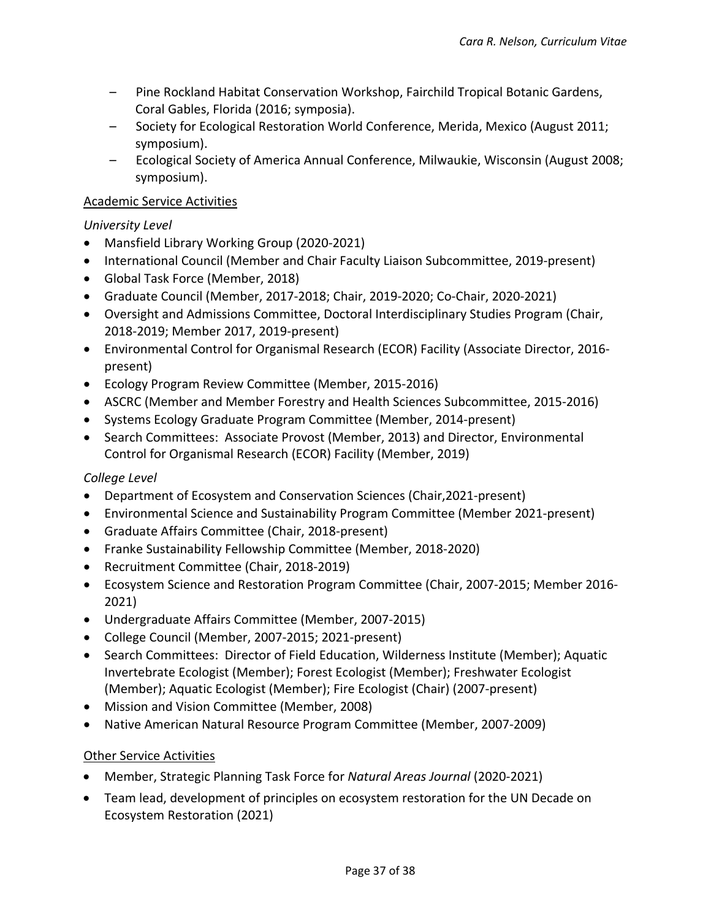- Pine Rockland Habitat Conservation Workshop, Fairchild Tropical Botanic Gardens, Coral Gables, Florida (2016; symposia).
- Society for Ecological Restoration World Conference, Merida, Mexico (August 2011; symposium).
- Ecological Society of America Annual Conference, Milwaukie, Wisconsin (August 2008; symposium).

# Academic Service Activities

# *University Level*

- Mansfield Library Working Group (2020-2021)
- International Council (Member and Chair Faculty Liaison Subcommittee, 2019-present)
- Global Task Force (Member, 2018)
- Graduate Council (Member, 2017-2018; Chair, 2019-2020; Co-Chair, 2020-2021)
- Oversight and Admissions Committee, Doctoral Interdisciplinary Studies Program (Chair, 2018-2019; Member 2017, 2019-present)
- Environmental Control for Organismal Research (ECOR) Facility (Associate Director, 2016 present)
- Ecology Program Review Committee (Member, 2015-2016)
- ASCRC (Member and Member Forestry and Health Sciences Subcommittee, 2015-2016)
- Systems Ecology Graduate Program Committee (Member, 2014-present)
- Search Committees: Associate Provost (Member, 2013) and Director, Environmental Control for Organismal Research (ECOR) Facility (Member, 2019)

# *College Level*

- Department of Ecosystem and Conservation Sciences (Chair,2021-present)
- Environmental Science and Sustainability Program Committee (Member 2021-present)
- Graduate Affairs Committee (Chair, 2018-present)
- Franke Sustainability Fellowship Committee (Member, 2018-2020)
- Recruitment Committee (Chair, 2018-2019)
- Ecosystem Science and Restoration Program Committee (Chair, 2007-2015; Member 2016- 2021)
- Undergraduate Affairs Committee (Member, 2007-2015)
- College Council (Member, 2007-2015; 2021-present)
- Search Committees: Director of Field Education, Wilderness Institute (Member); Aquatic Invertebrate Ecologist (Member); Forest Ecologist (Member); Freshwater Ecologist (Member); Aquatic Ecologist (Member); Fire Ecologist (Chair) (2007-present)
- Mission and Vision Committee (Member, 2008)
- Native American Natural Resource Program Committee (Member, 2007-2009)

# Other Service Activities

- Member, Strategic Planning Task Force for *Natural Areas Journal* (2020-2021)
- Team lead, development of principles on ecosystem restoration for the UN Decade on Ecosystem Restoration (2021)